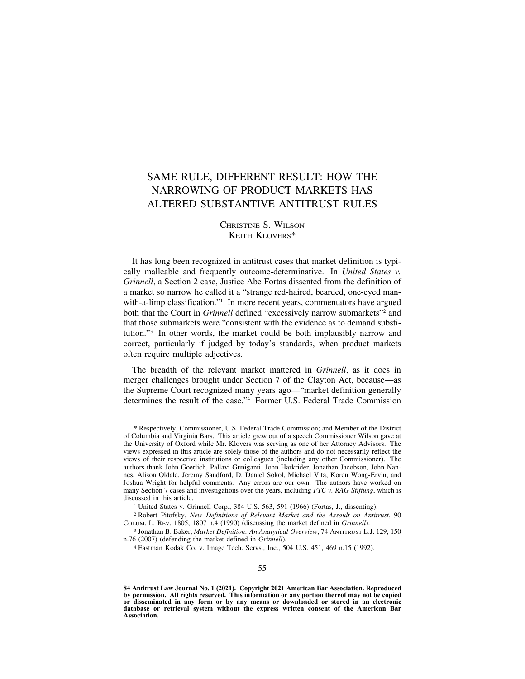# SAME RULE, DIFFERENT RESULT: HOW THE NARROWING OF PRODUCT MARKETS HAS ALTERED SUBSTANTIVE ANTITRUST RULES

# CHRISTINE S. WILSON KEITH KLOVERS\*

It has long been recognized in antitrust cases that market definition is typically malleable and frequently outcome-determinative. In *United States v. Grinnell*, a Section 2 case, Justice Abe Fortas dissented from the definition of a market so narrow he called it a "strange red-haired, bearded, one-eyed manwith-a-limp classification."<sup>1</sup> In more recent years, commentators have argued both that the Court in *Grinnell* defined "excessively narrow submarkets"<sup>2</sup> and that those submarkets were "consistent with the evidence as to demand substitution."3 In other words, the market could be both implausibly narrow and correct, particularly if judged by today's standards, when product markets often require multiple adjectives.

The breadth of the relevant market mattered in *Grinnell*, as it does in merger challenges brought under Section 7 of the Clayton Act, because—as the Supreme Court recognized many years ago—"market definition generally determines the result of the case."4 Former U.S. Federal Trade Commission

<sup>\*</sup> Respectively, Commissioner, U.S. Federal Trade Commission; and Member of the District of Columbia and Virginia Bars. This article grew out of a speech Commissioner Wilson gave at the University of Oxford while Mr. Klovers was serving as one of her Attorney Advisors. The views expressed in this article are solely those of the authors and do not necessarily reflect the views of their respective institutions or colleagues (including any other Commissioner). The authors thank John Goerlich, Pallavi Guniganti, John Harkrider, Jonathan Jacobson, John Nannes, Alison Oldale, Jeremy Sandford, D. Daniel Sokol, Michael Vita, Koren Wong-Ervin, and Joshua Wright for helpful comments. Any errors are our own. The authors have worked on many Section 7 cases and investigations over the years, including *FTC v. RAG-Stiftung*, which is discussed in this article. 1 United States v. Grinnell Corp., 384 U.S. 563, 591 (1966) (Fortas, J., dissenting).

<sup>&</sup>lt;sup>2</sup> Robert Pitofsky, *New Definitions of Relevant Market and the Assault on Antitrust*, 90 COLUM. L. REV. 1805, 1807 n.4 (1990) (discussing the market defined in *Grinnell*).

<sup>&</sup>lt;sup>3</sup> Jonathan B. Baker, *Market Definition: An Analytical Overview*, 74 ANTITRUST L.J. 129, 150 n.76 (2007) (defending the market defined in *Grinnell*).

<sup>&</sup>lt;sup>4</sup> Eastman Kodak Co. v. Image Tech. Servs., Inc., 504 U.S. 451, 469 n.15 (1992).

 **84 Antitrust Law Journal No. 1 (2021). Copyright 2021 American Bar Association. Reproduced database or retrieval system without the express written consent of the American Bar by permission. All rights reserved. This information or any portion thereof may not be copied or disseminated in any form or by any means or downloaded or stored in an electronic Association.**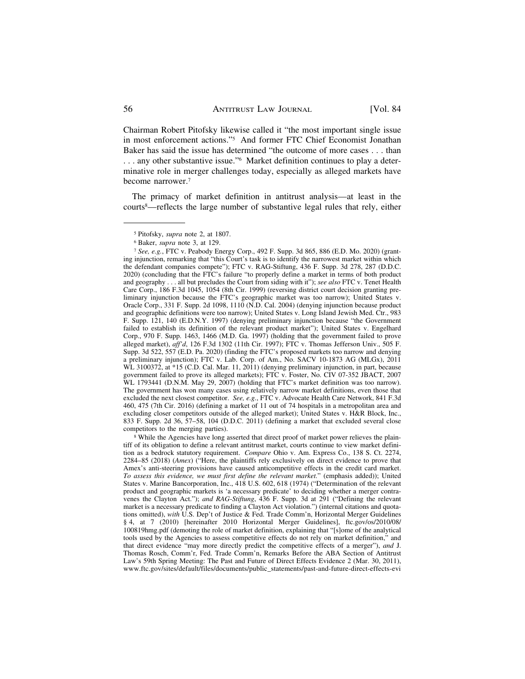Chairman Robert Pitofsky likewise called it "the most important single issue in most enforcement actions."5 And former FTC Chief Economist Jonathan Baker has said the issue has determined "the outcome of more cases . . . than . . . any other substantive issue."6 Market definition continues to play a determinative role in merger challenges today, especially as alleged markets have become narrower.7

The primacy of market definition in antitrust analysis—at least in the courts8—reflects the large number of substantive legal rules that rely, either

competitors to the merging parties). 8 While the Agencies have long asserted that direct proof of market power relieves the plaintiff of its obligation to define a relevant antitrust market, courts continue to view market definition as a bedrock statutory requirement. *Compare* Ohio v. Am. Express Co., 138 S. Ct. 2274, 2284–85 (2018) (*Amex*) ("Here, the plaintiffs rely exclusively on direct evidence to prove that Amex's anti-steering provisions have caused anticompetitive effects in the credit card market. *To assess this evidence, we must first define the relevant market.*" (emphasis added)); United States v. Marine Bancorporation, Inc., 418 U.S. 602, 618 (1974) ("Determination of the relevant product and geographic markets is 'a necessary predicate' to deciding whether a merger contravenes the Clayton Act."); *and RAG-Stiftung*, 436 F. Supp. 3d at 291 ("Defining the relevant market is a necessary predicate to finding a Clayton Act violation.") (internal citations and quotations omitted), *with* U.S. Dep't of Justice & Fed. Trade Comm'n, Horizontal Merger Guidelines § 4, at 7 (2010) [hereinafter 2010 Horizontal Merger Guidelines], [ftc.gov/os/2010/08/](https://ftc.gov/os/2010/08) 100819hmg.pdf (demoting the role of market definition, explaining that "[s]ome of the analytical tools used by the Agencies to assess competitive effects do not rely on market definition," and that direct evidence "may more directly predict the competitive effects of a merger"), *and* J. Thomas Rosch, Comm'r, Fed. Trade Comm'n, Remarks Before the ABA Section of Antitrust Law's 59th Spring Meeting: The Past and Future of Direct Effects Evidence 2 (Mar. 30, 2011), [www.ftc.gov/sites/default/files/documents/public\\_statements/past-and-future-direct-effects-evi](www.ftc.gov/sites/default/files/documents/public_statements/past-and-future-direct-effects-evi) 

<sup>5</sup> Pitofsky, *supra* note 2, at 1807. 6 Baker, *supra* note 3, at 129. 7 *See, e.g.*, FTC v. Peabody Energy Corp., 492 F. Supp. 3d 865, 886 (E.D. Mo. 2020) (granting injunction, remarking that "this Court's task is to identify the narrowest market within which the defendant companies compete"); FTC v. RAG-Stiftung, 436 F. Supp. 3d 278, 287 (D.D.C. 2020) (concluding that the FTC's failure "to properly define a market in terms of both product and geography . . . all but precludes the Court from siding with it"); *see also* FTC v. Tenet Health Care Corp., 186 F.3d 1045, 1054 (8th Cir. 1999) (reversing district court decision granting preliminary injunction because the FTC's geographic market was too narrow); United States v. Oracle Corp., 331 F. Supp. 2d 1098, 1110 (N.D. Cal. 2004) (denying injunction because product and geographic definitions were too narrow); United States v. Long Island Jewish Med. Ctr., 983 F. Supp. 121, 140 (E.D.N.Y. 1997) (denying preliminary injunction because "the Government failed to establish its definition of the relevant product market"); United States v. Engelhard Corp., 970 F. Supp. 1463, 1466 (M.D. Ga. 1997) (holding that the government failed to prove alleged market), *aff'd*, 126 F.3d 1302 (11th Cir. 1997); FTC v. Thomas Jefferson Univ., 505 F. Supp. 3d 522, 557 (E.D. Pa. 2020) (finding the FTC's proposed markets too narrow and denying a preliminary injunction); FTC v. Lab. Corp. of Am., No. SACV 10-1873 AG (MLGx), 2011 WL 3100372, at \*15 (C.D. Cal. Mar. 11, 2011) (denying preliminary injunction, in part, because government failed to prove its alleged markets); FTC v. Foster, No. CIV 07-352 JBACT, 2007 WL 1793441 (D.N.M. May 29, 2007) (holding that FTC's market definition was too narrow). The government has won many cases using relatively narrow market definitions, even those that excluded the next closest competitor. *See, e.g.*, FTC v. Advocate Health Care Network, 841 F.3d 460, 475 (7th Cir. 2016) (defining a market of 11 out of 74 hospitals in a metropolitan area and excluding closer competitors outside of the alleged market); United States v. H&R Block, Inc., 833 F. Supp. 2d 36, 57–58, 104 (D.D.C. 2011) (defining a market that excluded several close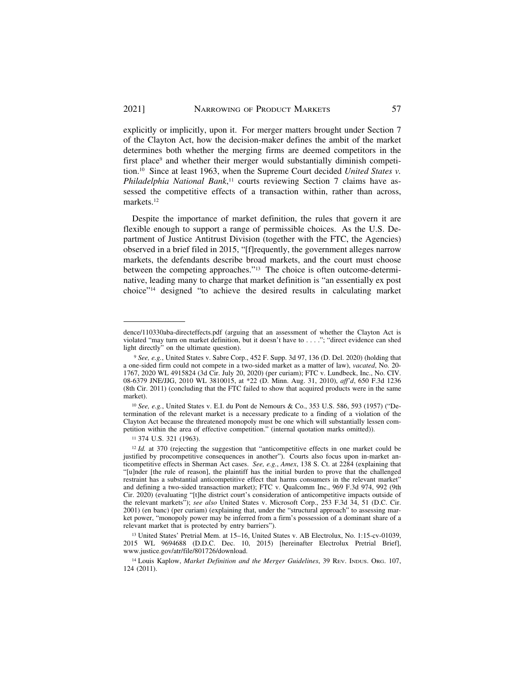explicitly or implicitly, upon it. For merger matters brought under Section 7 of the Clayton Act, how the decision-maker defines the ambit of the market determines both whether the merging firms are deemed competitors in the first place<sup>9</sup> and whether their merger would substantially diminish competition.10 Since at least 1963, when the Supreme Court decided *United States v. Philadelphia National Bank*, 11 courts reviewing Section 7 claims have assessed the competitive effects of a transaction within, rather than across, [markets.12](https://markets.12)

Despite the importance of market definition, the rules that govern it are flexible enough to support a range of permissible choices. As the U.S. Department of Justice Antitrust Division (together with the FTC, the Agencies) observed in a brief filed in 2015, "[f]requently, the government alleges narrow markets, the defendants describe broad markets, and the court must choose between the competing approaches."13 The choice is often outcome-determinative, leading many to charge that market definition is "an essentially ex post choice"14 designed "to achieve the desired results in calculating market

dence/110330aba-directeffects.pdf (arguing that an assessment of whether the Clayton Act is violated "may turn on market definition, but it doesn't have to . . . ."; "direct evidence can shed light directly" on the ultimate question).

<sup>9</sup>*See, e.g.*, United States v. Sabre Corp., 452 F. Supp. 3d 97, 136 (D. Del. 2020) (holding that a one-sided firm could not compete in a two-sided market as a matter of law), *vacated*, No. 20- 1767, 2020 WL 4915824 (3d Cir. July 20, 2020) (per curiam); FTC v. Lundbeck, Inc., No. CIV. 08-6379 JNE/JJG, 2010 WL 3810015, at \*22 (D. Minn. Aug. 31, 2010), *aff'd*, 650 F.3d 1236 (8th Cir. 2011) (concluding that the FTC failed to show that acquired products were in the same market).

<sup>10</sup> *See, e.g.*, United States v. E.I. du Pont de Nemours & Co., 353 U.S. 586, 593 (1957) ("Determination of the relevant market is a necessary predicate to a finding of a violation of the Clayton Act because the threatened monopoly must be one which will substantially lessen competition within the area of effective competition." (internal quotation marks omitted)).

<sup>11 374</sup> U.S. 321 (1963).

<sup>&</sup>lt;sup>12</sup> Id. at 370 (rejecting the suggestion that "anticompetitive effects in one market could be justified by procompetitive consequences in another"). Courts also focus upon in-market anticompetitive effects in Sherman Act cases. *See, e.g.*, *Amex*, 138 S. Ct. at 2284 (explaining that "[u]nder [the rule of reason], the plaintiff has the initial burden to prove that the challenged restraint has a substantial anticompetitive effect that harms consumers in the relevant market" and defining a two-sided transaction market); FTC v. Qualcomm Inc., 969 F.3d 974, 992 (9th Cir. 2020) (evaluating "[t]he district court's consideration of anticompetitive impacts outside of the relevant markets"); *see also* United States v. Microsoft Corp., 253 F.3d 34, 51 (D.C. Cir. 2001) (en banc) (per curiam) (explaining that, under the "structural approach" to assessing market power, "monopoly power may be inferred from a firm's possession of a dominant share of a relevant market that is protected by entry barriers").

<sup>13</sup> United States' Pretrial Mem. at 15–16, United States v. AB Electrolux, No. 1:15-cv-01039, 2015 WL 9694688 (D.D.C. Dec. 10, 2015) [hereinafter Electrolux Pretrial Brief], [www.justice.gov/atr/file/801726/download.](www.justice.gov/atr/file/801726/download)

<sup>&</sup>lt;sup>14</sup> Louis Kaplow, *Market Definition and the Merger Guidelines*, 39 REV. INDUS. ORG. 107, 124 (2011).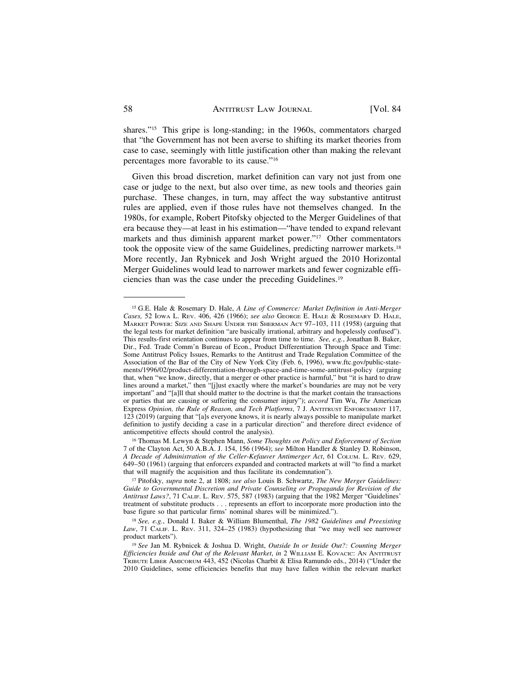shares."15 This gripe is long-standing; in the 1960s, commentators charged that "the Government has not been averse to shifting its market theories from case to case, seemingly with little justification other than making the relevant percentages more favorable to its cause."16

Given this broad discretion, market definition can vary not just from one case or judge to the next, but also over time, as new tools and theories gain purchase. These changes, in turn, may affect the way substantive antitrust rules are applied, even if those rules have not themselves changed. In the 1980s, for example, Robert Pitofsky objected to the Merger Guidelines of that era because they—at least in his estimation—"have tended to expand relevant markets and thus diminish apparent market power."<sup>17</sup> Other commentators took the opposite view of the same Guidelines, predicting narrower [markets.18](https://markets.18)  More recently, Jan Rybnicek and Josh Wright argued the 2010 Horizontal Merger Guidelines would lead to narrower markets and fewer cognizable efficiencies than was the case under the preceding [Guidelines.19](https://Guidelines.19) 

<sup>15</sup> G.E. Hale & Rosemary D. Hale, *A Line of Commerce: Market Definition in Anti-Merger Cases,* 52 IOWA L. REV. 406, 426 (1966); *see also* GEORGE E. HALE & ROSEMARY D. HALE, MARKET POWER: SIZE AND SHAPE UNDER THE SHERMAN ACT 97–103, 111 (1958) (arguing that the legal tests for market definition "are basically irrational, arbitrary and hopelessly confused"). This results-first orientation continues to appear from time to time. *See, e.g.*, Jonathan B. Baker, Dir., Fed. Trade Comm'n Bureau of Econ., Product Differentiation Through Space and Time: Some Antitrust Policy Issues, Remarks to the Antitrust and Trade Regulation Committee of the Association of the Bar of the City of New York City (Feb. 6, 1996), <www.ftc.gov/public-state>ments/1996/02/product-differentiation-through-space-and-time-some-antitrust-policy (arguing that, when "we know, directly, that a merger or other practice is harmful," but "it is hard to draw lines around a market," then "[j]ust exactly where the market's boundaries are may not be very important" and "[a]ll that should matter to the doctrine is that the market contain the transactions or parties that are causing or suffering the consumer injury"); *accord* Tim Wu, *The* American Express *Opinion, the Rule of Reason, and Tech Platforms*, 7 J. ANTITRUST ENFORCEMENT 117, 123 (2019) (arguing that "[a]s everyone knows, it is nearly always possible to manipulate market definition to justify deciding a case in a particular direction" and therefore direct evidence of anticompetitive effects should control the analysis).

<sup>16</sup> Thomas M. Lewyn & Stephen Mann, *Some Thoughts on Policy and Enforcement of Section*  7 of the Clayton Act, 50 A.B.A. J. 154, 156 (1964); *see* Milton Handler & Stanley D. Robinson, *A Decade of Administration of the Celler-Kefauver Antimerger Act*, 61 COLUM. L. REV. 629, 649–50 (1961) (arguing that enforcers expanded and contracted markets at will "to find a market that will magnify the acquisition and thus facilitate its condemnation").

<sup>17</sup> Pitofsky, *supra* note 2, at 1808; *see also* Louis B. Schwartz, *The New Merger Guidelines: Guide to Governmental Discretion and Private Counseling or Propaganda for Revision of the Antitrust Laws?*, 71 CALIF. L. REV. 575, 587 (1983) (arguing that the 1982 Merger "Guidelines' treatment of substitute products . . . represents an effort to incorporate more production into the base figure so that particular firms' nominal shares will be minimized.").

<sup>18</sup>*See, e.g.*, Donald I. Baker & William Blumenthal, *The 1982 Guidelines and Preexisting Law*, 71 CALIF. L. REV. 311, 324–25 (1983) (hypothesizing that "we may well see narrower product markets").

<sup>19</sup>*See* Jan M. Rybnicek & Joshua D. Wright, *Outside In or Inside Out?: Counting Merger Efficiencies Inside and Out of the Relevant Market*, *in* 2 WILLIAM E. KOVACIC: AN ANTITRUST TRIBUTE LIBER AMICORUM 443, 452 (Nicolas Charbit & Elisa Ramundo eds., 2014) ("Under the 2010 Guidelines, some efficiencies benefits that may have fallen within the relevant market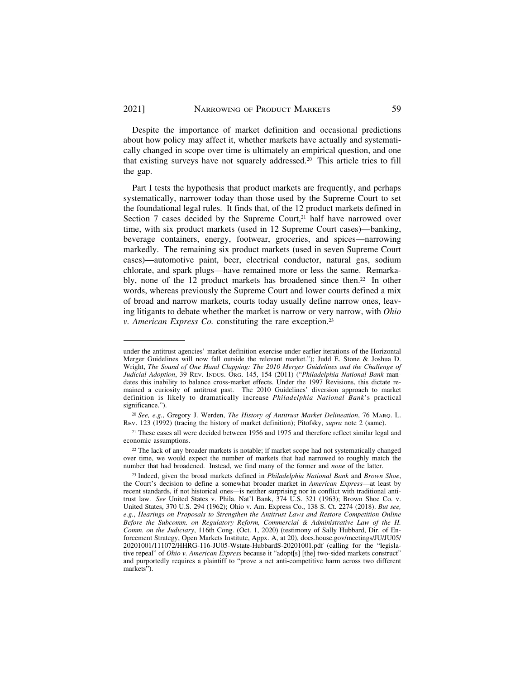Despite the importance of market definition and occasional predictions about how policy may affect it, whether markets have actually and systematically changed in scope over time is ultimately an empirical question, and one that existing surveys have not squarely [addressed.20](https://addressed.20) This article tries to fill the gap.

Part I tests the hypothesis that product markets are frequently, and perhaps systematically, narrower today than those used by the Supreme Court to set the foundational legal rules. It finds that, of the 12 product markets defined in Section 7 cases decided by the Supreme Court, $2<sup>1</sup>$  half have narrowed over time, with six product markets (used in 12 Supreme Court cases)—banking, beverage containers, energy, footwear, groceries, and spices—narrowing markedly. The remaining six product markets (used in seven Supreme Court cases)—automotive paint, beer, electrical conductor, natural gas, sodium chlorate, and spark plugs—have remained more or less the same. Remarkably, none of the 12 product markets has broadened since then.<sup>22</sup> In other words, whereas previously the Supreme Court and lower courts defined a mix of broad and narrow markets, courts today usually define narrow ones, leaving litigants to debate whether the market is narrow or very narrow, with *Ohio v. American Express Co.* constituting the rare exception.<sup>23</sup>

under the antitrust agencies' market definition exercise under earlier iterations of the Horizontal Merger Guidelines will now fall outside the relevant market."); Judd E. Stone & Joshua D. Wright, *The Sound of One Hand Clapping: The 2010 Merger Guidelines and the Challenge of Judicial Adoption*, 39 REV. INDUS. ORG. 145, 154 (2011) ("*Philadelphia National Bank* mandates this inability to balance cross-market effects. Under the 1997 Revisions, this dictate remained a curiosity of antitrust past. The 2010 Guidelines' diversion approach to market definition is likely to dramatically increase *Philadelphia National Bank*'s practical significance.").

<sup>20</sup>*See, e.g.*, Gregory J. Werden, *The History of Antitrust Market Delineation*, 76 MARQ. L. REV. 123 (1992) (tracing the history of market definition); Pitofsky, *supra* note 2 (same).

<sup>21</sup> These cases all were decided between 1956 and 1975 and therefore reflect similar legal and economic assumptions.

<sup>22</sup> The lack of any broader markets is notable; if market scope had not systematically changed over time, we would expect the number of markets that had narrowed to roughly match the number that had broadened. Instead, we find many of the former and *none* of the latter.

<sup>23</sup> Indeed, given the broad markets defined in *Philadelphia National Bank* and *Brown Shoe*, the Court's decision to define a somewhat broader market in *American Express*—at least by recent standards, if not historical ones*—*is neither surprising nor in conflict with traditional antitrust law. *See* United States v. Phila. Nat'l Bank, 374 U.S. 321 (1963); Brown Shoe Co. v. United States, 370 U.S. 294 (1962); Ohio v. Am. Express Co., 138 S. Ct. 2274 (2018). *But see, e.g.*, *Hearings on Proposals to Strengthen the Antitrust Laws and Restore Competition Online Before the Subcomm. on Regulatory Reform, Commercial & Administrative Law of the H. Comm. on the Judiciary*, 116th Cong. (Oct. 1, 2020) (testimony of Sally Hubbard, Dir. of Enforcement Strategy, Open Markets Institute, Appx. A, at 20), [docs.house.gov/meetings/JU/JU05/](https://docs.house.gov/meetings/JU/JU05) 20201001/111072/HHRG-116-JU05-Wstate-HubbardS-20201001.pdf (calling for the "legislative repeal" of *Ohio v. American Express* because it "adopt[s] [the] two-sided markets construct" and purportedly requires a plaintiff to "prove a net anti-competitive harm across two different markets").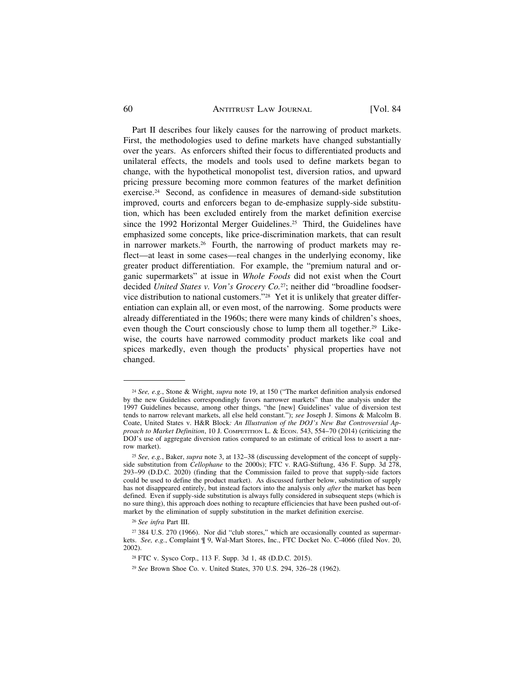### 60 ANTITRUST LAW JOURNAL [Vol. 84

Part II describes four likely causes for the narrowing of product markets. First, the methodologies used to define markets have changed substantially over the years. As enforcers shifted their focus to differentiated products and unilateral effects, the models and tools used to define markets began to change, with the hypothetical monopolist test, diversion ratios, and upward pricing pressure becoming more common features of the market definition [exercise.24](https://exercise.24) Second, as confidence in measures of demand-side substitution improved, courts and enforcers began to de-emphasize supply-side substitution, which has been excluded entirely from the market definition exercise since the 1992 Horizontal Merger Guidelines.<sup>25</sup> Third, the Guidelines have emphasized some concepts, like price-discrimination markets, that can result in narrower [markets.26](https://markets.26) Fourth, the narrowing of product markets may reflect—at least in some cases—real changes in the underlying economy, like greater product differentiation. For example, the "premium natural and organic supermarkets" at issue in *Whole Foods* did not exist when the Court decided *United States v. Von's Grocery Co.*27; neither did "broadline foodservice distribution to national customers."28 Yet it is unlikely that greater differentiation can explain all, or even most, of the narrowing. Some products were already differentiated in the 1960s; there were many kinds of children's shoes, even though the Court consciously chose to lump them all together.<sup>29</sup> Likewise, the courts have narrowed commodity product markets like coal and spices markedly, even though the products' physical properties have not changed.

<sup>24</sup>*See, e.g.*, Stone & Wright, *supra* note 19, at 150 ("The market definition analysis endorsed by the new Guidelines correspondingly favors narrower markets" than the analysis under the 1997 Guidelines because, among other things, "the [new] Guidelines' value of diversion test tends to narrow relevant markets, all else held constant."); *see* Joseph J. Simons & Malcolm B. Coate, United States v. H&R Block*: An Illustration of the DOJ's New But Controversial Approach to Market Definition*, 10 J. COMPETITION L. & ECON. 543, 554–70 (2014) (criticizing the DOJ's use of aggregate diversion ratios compared to an estimate of critical loss to assert a narrow market).

<sup>25</sup> *See, e.g.*, Baker, *supra* note 3, at 132–38 (discussing development of the concept of supplyside substitution from *Cellophane* to the 2000s); FTC v. RAG-Stiftung, 436 F. Supp. 3d 278, 293–99 (D.D.C. 2020) (finding that the Commission failed to prove that supply-side factors could be used to define the product market). As discussed further below, substitution of supply has not disappeared entirely, but instead factors into the analysis only *after* the market has been defined. Even if supply-side substitution is always fully considered in subsequent steps (which is no sure thing), this approach does nothing to recapture efficiencies that have been pushed out-ofmarket by the elimination of supply substitution in the market definition exercise.

<sup>26</sup>*See infra* Part III.

<sup>27 384</sup> U.S. 270 (1966). Nor did "club stores," which are occasionally counted as supermarkets. *See, e.g.*, Complaint ¶ 9, Wal-Mart Stores, Inc., FTC Docket No. C-4066 (filed Nov. 20, 2002).

<sup>28</sup> FTC v. Sysco Corp., 113 F. Supp. 3d 1, 48 (D.D.C. 2015).

<sup>29</sup> *See* Brown Shoe Co. v. United States, 370 U.S. 294, 326–28 (1962).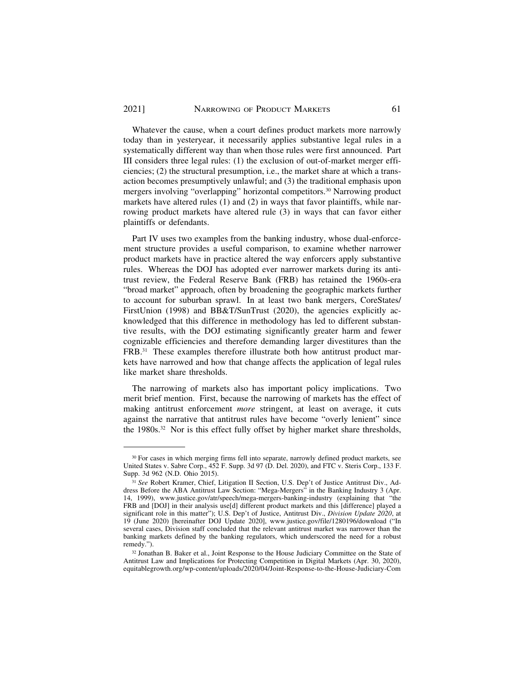Whatever the cause, when a court defines product markets more narrowly today than in yesteryear, it necessarily applies substantive legal rules in a systematically different way than when those rules were first announced. Part III considers three legal rules: (1) the exclusion of out-of-market merger efficiencies; (2) the structural presumption, i.e., the market share at which a transaction becomes presumptively unlawful; and (3) the traditional emphasis upon mergers involving "overlapping" horizontal [competitors.30](https://competitors.30) Narrowing product markets have altered rules (1) and (2) in ways that favor plaintiffs, while narrowing product markets have altered rule (3) in ways that can favor either plaintiffs or defendants.

Part IV uses two examples from the banking industry, whose dual-enforcement structure provides a useful comparison, to examine whether narrower product markets have in practice altered the way enforcers apply substantive rules. Whereas the DOJ has adopted ever narrower markets during its antitrust review, the Federal Reserve Bank (FRB) has retained the 1960s-era "broad market" approach, often by broadening the geographic markets further to account for suburban sprawl. In at least two bank mergers, CoreStates/ FirstUnion (1998) and BB&T/SunTrust (2020), the agencies explicitly acknowledged that this difference in methodology has led to different substantive results, with the DOJ estimating significantly greater harm and fewer cognizable efficiencies and therefore demanding larger divestitures than the FRB.31 These examples therefore illustrate both how antitrust product markets have narrowed and how that change affects the application of legal rules like market share thresholds.

The narrowing of markets also has important policy implications. Two merit brief mention. First, because the narrowing of markets has the effect of making antitrust enforcement *more* stringent, at least on average, it cuts against the narrative that antitrust rules have become "overly lenient" since the [1980s.32](https://1980s.32) Nor is this effect fully offset by higher market share thresholds,

<sup>&</sup>lt;sup>30</sup> For cases in which merging firms fell into separate, narrowly defined product markets, see United States v. Sabre Corp., 452 F. Supp. 3d 97 (D. Del. 2020), and FTC v. Steris Corp., 133 F. Supp. 3d 962 (N.D. Ohio 2015).

<sup>31</sup> *See* Robert Kramer, Chief, Litigation II Section, U.S. Dep't of Justice Antitrust Div., Address Before the ABA Antitrust Law Section: "Mega-Mergers" in the Banking Industry 3 (Apr. 14, 1999), <www.justice.gov/atr/speech/mega-mergers-banking-industry>(explaining that "the FRB and [DOJ] in their analysis use[d] different product markets and this [difference] played a significant role in this matter"); U.S. Dep't of Justice, Antitrust Div., *Division Update 2020*, at 19 (June 2020) [hereinafter DOJ Update 2020], <www.justice.gov/file/1280196/download>("In several cases, Division staff concluded that the relevant antitrust market was narrower than the banking markets defined by the banking regulators, which underscored the need for a robust remedy.").

<sup>32</sup> Jonathan B. Baker et al., Joint Response to the House Judiciary Committee on the State of Antitrust Law and Implications for Protecting Competition in Digital Markets (Apr. 30, 2020), [equitablegrowth.org/wp-content/uploads/2020/04/Joint-Response-to-the-House-Judiciary-Com](https://equitablegrowth.org/wp-content/uploads/2020/04/Joint-Response-to-the-House-Judiciary-Com)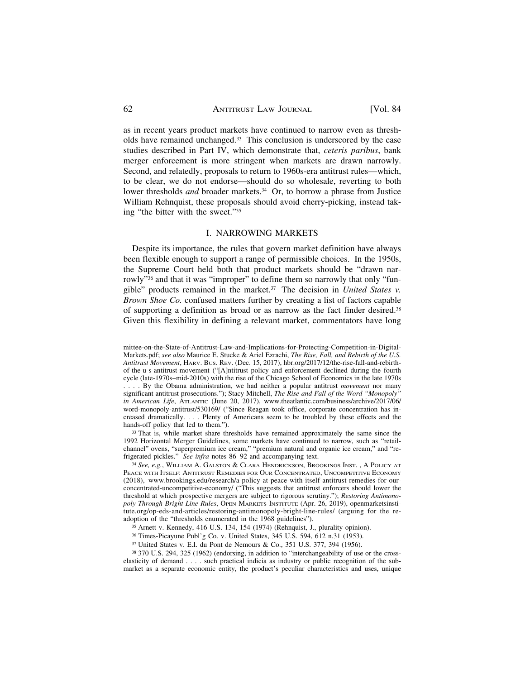as in recent years product markets have continued to narrow even as thresholds have remained [unchanged.33](https://unchanged.33) This conclusion is underscored by the case studies described in Part IV, which demonstrate that, *ceteris paribus*, bank merger enforcement is more stringent when markets are drawn narrowly. Second, and relatedly, proposals to return to 1960s-era antitrust rules—which, to be clear, we do not endorse—should do so wholesale, reverting to both lower thresholds *and* broader markets.<sup>34</sup> Or, to borrow a phrase from Justice William Rehnquist, these proposals should avoid cherry-picking, instead taking "the bitter with the sweet."35

#### I. NARROWING MARKETS

Despite its importance, the rules that govern market definition have always been flexible enough to support a range of permissible choices. In the 1950s, the Supreme Court held both that product markets should be "drawn narrowly"36 and that it was "improper" to define them so narrowly that only "fungible" products remained in the [market.37](https://market.37) The decision in *United States v. Brown Shoe Co.* confused matters further by creating a list of factors capable of supporting a definition as broad or as narrow as the fact finder [desired.38](https://desired.38)  Given this flexibility in defining a relevant market, commentators have long

mittee-on-the-State-of-Antitrust-Law-and-Implications-for-Protecting-Competition-in-Digital-Markets.pdf; *see also* Maurice E. Stucke & Ariel Ezrachi, *The Rise, Fall, and Rebirth of the U.S. Antitrust Movement*, HARV. BUS. REV. (Dec. 15, 2017), [hbr.org/2017/12/the-rise-fall-and-rebirth](https://hbr.org/2017/12/the-rise-fall-and-rebirth)of-the-u-s-antitrust-movement ("[A]ntitrust policy and enforcement declined during the fourth cycle (late-1970s–mid-2010s) with the rise of the Chicago School of Economics in the late 1970s . . . . By the Obama administration, we had neither a popular antitrust *movement* nor many significant antitrust prosecutions."); Stacy Mitchell, *The Rise and Fall of the Word "Monopoly*" *in American Life*, ATLANTIC (June 20, 2017), [www.theatlantic.com/business/archive/2017/06/](www.theatlantic.com/business/archive/2017/06) word-monopoly-antitrust/530169/ ("Since Reagan took office, corporate concentration has increased dramatically. . . . Plenty of Americans seem to be troubled by these effects and the

hands-off policy that led to them.").<br><sup>33</sup> That is, while market share thresholds have remained approximately the same since the 1992 Horizontal Merger Guidelines, some markets have continued to narrow, such as "retailchannel" ovens, "superpremium ice cream," "premium natural and organic ice cream," and "re-<br>frigerated pickles." See infra notes 86–92 and accompanying text.

<sup>&</sup>lt;sup>34</sup> See, e.g., WILLIAM A. GALSTON & CLARA HENDRICKSON, BROOKINGS INST. , A POLICY AT PEACE WITH ITSELF: ANTITRUST REMEDIES FOR OUR CONCENTRATED, UNCOMPETITIVE ECONOMY (2018), <www.brookings.edu/research/a-policy-at-peace-with-itself-antitrust-remedies-for-our>concentrated-uncompetitive-economy/ ("This suggests that antitrust enforcers should lower the threshold at which prospective mergers are subject to rigorous scrutiny."); *Restoring Antimonopoly Through Bright-Line Rules*, OPEN MARKETS INSTITUTE (Apr. 26, 2019), openmarketsinsti[tute.org/op-eds-and-articles/restoring-antimonopoly-bright-line-rules](https://tute.org/op-eds-and-articles/restoring-antimonopoly-bright-line-rules)/ (arguing for the readoption of the "thresholds enumerated in the 1968 guidelines"). 35 Arnett v. Kennedy, 416 U.S. 134, 154 (1974) (Rehnquist, J., plurality opinion).

<sup>36</sup> Times-Picayune Publ'g Co. v. United States, 345 U.S. 594, 612 n.31 (1953).

<sup>37</sup> United States v. E.I. du Pont de Nemours & Co., 351 U.S. 377, 394 (1956).

<sup>38 370</sup> U.S. 294, 325 (1962) (endorsing, in addition to "interchangeability of use or the crosselasticity of demand . . . . such practical indicia as industry or public recognition of the submarket as a separate economic entity, the product's peculiar characteristics and uses, unique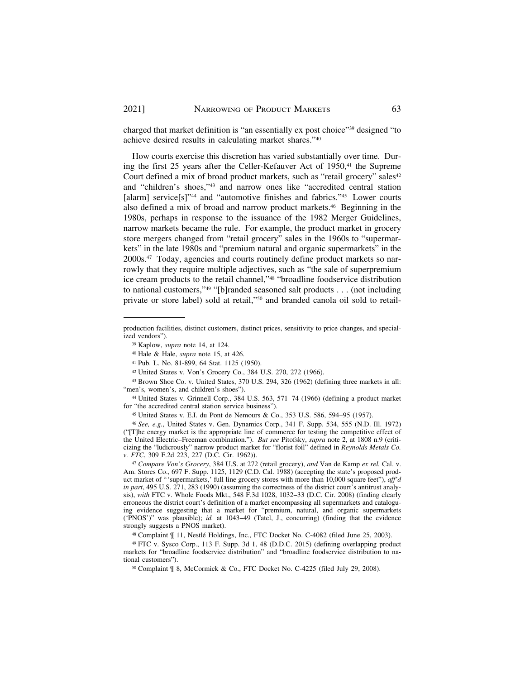charged that market definition is "an essentially ex post choice"39 designed "to achieve desired results in calculating market shares."40

How courts exercise this discretion has varied substantially over time. During the first  $25$  years after the Celler-Kefauver Act of  $1950$ ,<sup> $41$ </sup> the Supreme Court defined a mix of broad product markets, such as "retail grocery" sales<sup>42</sup> and "children's shoes,"43 and narrow ones like "accredited central station [alarm] service[s]"<sup>44</sup> and "automotive finishes and fabrics."<sup>45</sup> Lower courts also defined a mix of broad and narrow product [markets.46](https://markets.46) Beginning in the 1980s, perhaps in response to the issuance of the 1982 Merger Guidelines, narrow markets became the rule. For example, the product market in grocery store mergers changed from "retail grocery" sales in the 1960s to "supermarkets" in the late 1980s and "premium natural and organic supermarkets" in the [2000s.47](https://2000s.47) Today, agencies and courts routinely define product markets so narrowly that they require multiple adjectives, such as "the sale of superpremium ice cream products to the retail channel,"48 "broadline foodservice distribution to national customers,"49 "[b]randed seasoned salt products . . . (not including private or store label) sold at retail,"50 and branded canola oil sold to retail-

production facilities, distinct customers, distinct prices, sensitivity to price changes, and specialized vendors").

<sup>39</sup> Kaplow, *supra* note 14, at 124.

<sup>40</sup> Hale & Hale, *supra* note 15, at 426.

<sup>41</sup> Pub. L. No. 81-899, 64 Stat. 1125 (1950).

<sup>42</sup> United States v. Von's Grocery Co., 384 U.S. 270, 272 (1966).

<sup>43</sup> Brown Shoe Co. v. United States, 370 U.S. 294, 326 (1962) (defining three markets in all: "men's, women's, and children's shoes").

<sup>44</sup> United States v. Grinnell Corp., 384 U.S. 563, 571–74 (1966) (defining a product market for "the accredited central station service business").

<sup>45</sup> United States v. E.I. du Pont de Nemours & Co., 353 U.S. 586, 594–95 (1957).

<sup>46</sup>*See, e.g.*, United States v. Gen. Dynamics Corp., 341 F. Supp. 534, 555 (N.D. Ill. 1972) ("[T]he energy market is the appropriate line of commerce for testing the competitive effect of the United Electric–Freeman combination."). *But see* Pitofsky, *supra* note 2, at 1808 n.9 (criticizing the "ludicrously" narrow product market for "florist foil" defined in *Reynolds Metals Co. v. FTC*, 309 F.2d 223, 227 (D.C. Cir. 1962)).

<sup>47</sup>*Compare Von's Grocery*, 384 U.S. at 272 (retail grocery), *and* Van de Kamp *ex rel.* Cal. v. Am. Stores Co., 697 F. Supp. 1125, 1129 (C.D. Cal. 1988) (accepting the state's proposed product market of "'supermarkets,' full line grocery stores with more than 10,000 square feet"), *aff'd in part*, 495 U.S. 271, 283 (1990) (assuming the correctness of the district court's antitrust analysis), *with* FTC v. Whole Foods Mkt., 548 F.3d 1028, 1032–33 (D.C. Cir. 2008) (finding clearly erroneous the district court's definition of a market encompassing all supermarkets and cataloguing evidence suggesting that a market for "premium, natural, and organic supermarkets ('PNOS')" was plausible); *id.* at 1043–49 (Tatel, J., concurring) (finding that the evidence strongly suggests a PNOS market).

<sup>&</sup>lt;sup>48</sup> Complaint  $\parallel$  11, Nestlé Holdings, Inc., FTC Docket No. C-4082 (filed June 25, 2003).

<sup>49</sup> FTC v. Sysco Corp., 113 F. Supp. 3d 1, 48 (D.D.C. 2015) (defining overlapping product markets for "broadline foodservice distribution" and "broadline foodservice distribution to national customers").

<sup>50</sup> Complaint ¶ 8, McCormick & Co., FTC Docket No. C-4225 (filed July 29, 2008).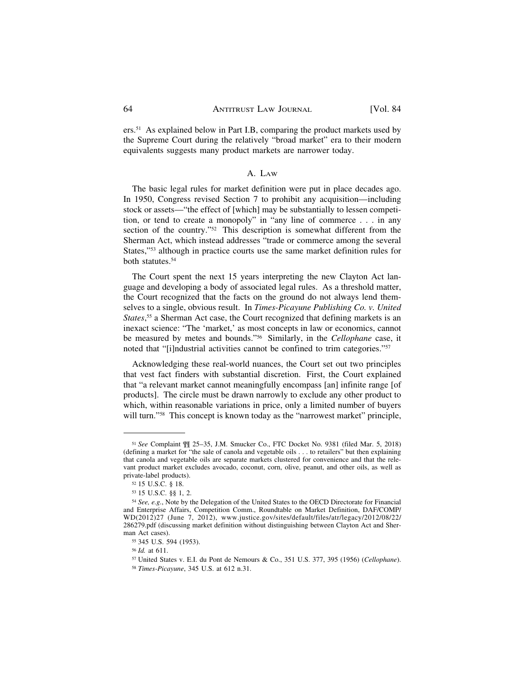ers.51 As explained below in Part I.B, comparing the product markets used by the Supreme Court during the relatively "broad market" era to their modern equivalents suggests many product markets are narrower today.

#### A. LAW

The basic legal rules for market definition were put in place decades ago. In 1950, Congress revised Section 7 to prohibit any acquisition—including stock or assets—"the effect of [which] may be substantially to lessen competition, or tend to create a monopoly" in "any line of commerce . . . in any section of the country."<sup>52</sup> This description is somewhat different from the Sherman Act, which instead addresses "trade or commerce among the several States,"53 although in practice courts use the same market definition rules for both [statutes.54](https://statutes.54)

The Court spent the next 15 years interpreting the new Clayton Act language and developing a body of associated legal rules. As a threshold matter, the Court recognized that the facts on the ground do not always lend themselves to a single, obvious result. In *Times-Picayune Publishing Co. v. United States*, 55 a Sherman Act case, the Court recognized that defining markets is an inexact science: "The 'market,' as most concepts in law or economics, cannot be measured by metes and bounds."56 Similarly, in the *Cellophane* case, it noted that "[i]ndustrial activities cannot be confined to trim categories."57

Acknowledging these real-world nuances, the Court set out two principles that vest fact finders with substantial discretion. First, the Court explained that "a relevant market cannot meaningfully encompass [an] infinite range [of products]. The circle must be drawn narrowly to exclude any other product to which, within reasonable variations in price, only a limited number of buyers will turn."<sup>58</sup> This concept is known today as the "narrowest market" principle,

<sup>51</sup>*See* Complaint ¶¶ 25–35, J.M. Smucker Co., FTC Docket No. 9381 (filed Mar. 5, 2018) (defining a market for "the sale of canola and vegetable oils . . . to retailers" but then explaining that canola and vegetable oils are separate markets clustered for convenience and that the relevant product market excludes avocado, coconut, corn, olive, peanut, and other oils, as well as private-label products).

<sup>52 15</sup> U.S.C. § 18.

<sup>53 15</sup> U.S.C. §§ 1, 2.

<sup>54</sup>*See, e.g.*, Note by the Delegation of the United States to the OECD Directorate for Financial and Enterprise Affairs, Competition Comm., Roundtable on Market Definition, DAF/COMP/ WD(2012)27 (June 7, 2012), <www.justice.gov/sites/default/files/atr/legacy/2012/08/22>/ 286279.pdf (discussing market definition without distinguishing between Clayton Act and Sherman Act cases).

<sup>55 345</sup> U.S. 594 (1953).

<sup>56</sup>*Id.* at 611.

<sup>57</sup> United States v. E.I. du Pont de Nemours & Co., 351 U.S. 377, 395 (1956) (*Cellophane*).

<sup>58</sup> *Times-Picayune*, 345 U.S. at 612 n.31.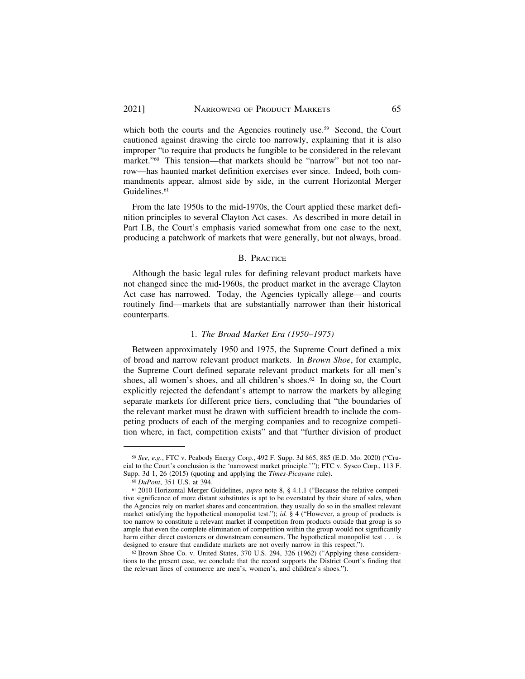which both the courts and the Agencies routinely use.<sup>59</sup> Second, the Court cautioned against drawing the circle too narrowly, explaining that it is also improper "to require that products be fungible to be considered in the relevant market."60 This tension—that markets should be "narrow" but not too narrow—has haunted market definition exercises ever since. Indeed, both commandments appear, almost side by side, in the current Horizontal Merger Guidelines.<sup>61</sup>

From the late 1950s to the mid-1970s, the Court applied these market definition principles to several Clayton Act cases. As described in more detail in Part I.B, the Court's emphasis varied somewhat from one case to the next, producing a patchwork of markets that were generally, but not always, broad.

#### B. PRACTICE

Although the basic legal rules for defining relevant product markets have not changed since the mid-1960s, the product market in the average Clayton Act case has narrowed. Today, the Agencies typically allege—and courts routinely find—markets that are substantially narrower than their historical counterparts.

## 1. *The Broad Market Era (1950–1975)*

Between approximately 1950 and 1975, the Supreme Court defined a mix of broad and narrow relevant product markets. In *Brown Shoe*, for example, the Supreme Court defined separate relevant product markets for all men's shoes, all women's shoes, and all children's shoes.<sup>62</sup> In doing so, the Court explicitly rejected the defendant's attempt to narrow the markets by alleging separate markets for different price tiers, concluding that "the boundaries of the relevant market must be drawn with sufficient breadth to include the competing products of each of the merging companies and to recognize competition where, in fact, competition exists" and that "further division of product

<sup>59</sup> *See, e.g.*, FTC v. Peabody Energy Corp., 492 F. Supp. 3d 865, 885 (E.D. Mo. 2020) ("Crucial to the Court's conclusion is the 'narrowest market principle.'"); FTC v. Sysco Corp., 113 F. Supp. 3d 1, 26 (2015) (quoting and applying the *Times-Picayune* rule).

<sup>&</sup>lt;sup>60</sup> *DuPont*, 351 U.S. at 394. **Comparisor** 60 *DuPont*, 351 U.S. at 394. 61 *DuPont*, 351 U.S. at 394. **61** *Guidelines, supra* note 8, § 4.1.1 ("Because the relative competitive significance of more distant substitutes is apt to be overstated by their share of sales, when the Agencies rely on market shares and concentration, they usually do so in the smallest relevant market satisfying the hypothetical monopolist test."); *id.* § 4 ("However, a group of products is too narrow to constitute a relevant market if competition from products outside that group is so ample that even the complete elimination of competition within the group would not significantly harm either direct customers or downstream consumers. The hypothetical monopolist test . . . is designed to ensure that candidate markets are not overly narrow in this respect."). 62 Brown Shoe Co. v. United States, 370 U.S. 294, 326 (1962) ("Applying these considera-

tions to the present case, we conclude that the record supports the District Court's finding that the relevant lines of commerce are men's, women's, and children's shoes.").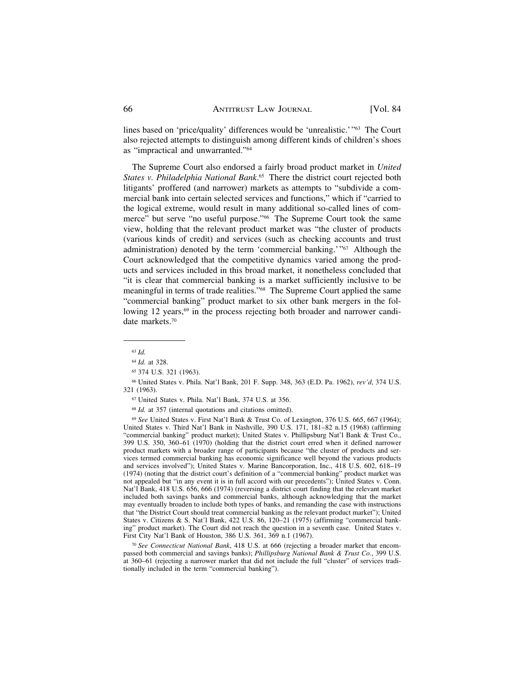lines based on 'price/quality' differences would be 'unrealistic.'"63 The Court also rejected attempts to distinguish among different kinds of children's shoes as "impractical and unwarranted."64

The Supreme Court also endorsed a fairly broad product market in *United States v. Philadelphia National Bank*. 65 There the district court rejected both litigants' proffered (and narrower) markets as attempts to "subdivide a commercial bank into certain selected services and functions," which if "carried to the logical extreme, would result in many additional so-called lines of commerce" but serve "no useful purpose."66 The Supreme Court took the same view, holding that the relevant product market was "the cluster of products (various kinds of credit) and services (such as checking accounts and trust administration) denoted by the term 'commercial banking.'"67 Although the Court acknowledged that the competitive dynamics varied among the products and services included in this broad market, it nonetheless concluded that "it is clear that commercial banking is a market sufficiently inclusive to be meaningful in terms of trade realities."68 The Supreme Court applied the same "commercial banking" product market to six other bank mergers in the following 12 years,<sup>69</sup> in the process rejecting both broader and narrower candidate [markets.70](https://markets.70) 

<sup>63</sup>*Id.* 

<sup>64</sup>*Id.* at 328.

<sup>65 374</sup> U.S. 321 (1963).

<sup>66</sup> United States v. Phila. Nat'l Bank, 201 F. Supp. 348, 363 (E.D. Pa. 1962), *rev'd*, 374 U.S. 321 (1963).

<sup>67</sup> United States v. Phila. Nat'l Bank, 374 U.S. at 356.

<sup>68</sup>*Id.* at 357 (internal quotations and citations omitted).

<sup>69</sup>*See* United States v. First Nat'l Bank & Trust Co. of Lexington, 376 U.S. 665, 667 (1964); United States v. Third Nat'l Bank in Nashville, 390 U.S. 171, 181–82 n.15 (1968) (affirming "commercial banking" product market); United States v. Phillipsburg Nat'l Bank & Trust Co., 399 U.S. 350, 360–61 (1970) (holding that the district court erred when it defined narrower product markets with a broader range of participants because "the cluster of products and services termed commercial banking has economic significance well beyond the various products and services involved"); United States v. Marine Bancorporation, Inc., 418 U.S. 602, 618–19 (1974) (noting that the district court's definition of a "commercial banking" product market was not appealed but "in any event it is in full accord with our precedents"); United States v. Conn. Nat'l Bank, 418 U.S. 656, 666 (1974) (reversing a district court finding that the relevant market included both savings banks and commercial banks, although acknowledging that the market may eventually broaden to include both types of banks, and remanding the case with instructions that "the District Court should treat commercial banking as the relevant product market"); United States v. Citizens & S. Nat'l Bank, 422 U.S. 86, 120–21 (1975) (affirming "commercial banking" product market). The Court did not reach the question in a seventh case. United States v. First City Nat'l Bank of Houston, 386 U.S. 361, 369 n.1 (1967).

<sup>70</sup> *See Connecticut National Bank*, 418 U.S. at 666 (rejecting a broader market that encompassed both commercial and savings banks); *Phillipsburg National Bank & Trust Co.*, 399 U.S. at 360–61 (rejecting a narrower market that did not include the full "cluster" of services traditionally included in the term "commercial banking").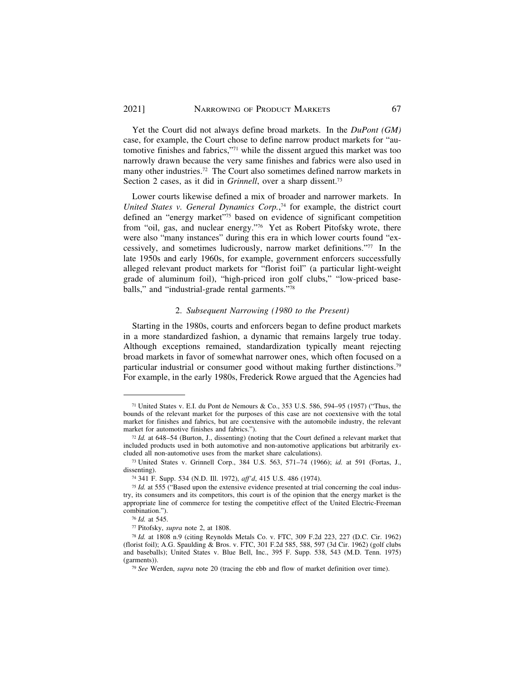Yet the Court did not always define broad markets. In the *DuPont (GM)*  case, for example, the Court chose to define narrow product markets for "automotive finishes and fabrics,"71 while the dissent argued this market was too narrowly drawn because the very same finishes and fabrics were also used in many other industries.<sup>72</sup> The Court also sometimes defined narrow markets in Section 2 cases, as it did in *Grinnell*, over a sharp dissent.<sup>73</sup>

Lower courts likewise defined a mix of broader and narrower markets. In *United States v. General Dynamics Corp.*, 74 for example, the district court defined an "energy market"<sup>75</sup> based on evidence of significant competition from "oil, gas, and nuclear energy."76 Yet as Robert Pitofsky wrote, there were also "many instances" during this era in which lower courts found "excessively, and sometimes ludicrously, narrow market definitions."77 In the late 1950s and early 1960s, for example, government enforcers successfully alleged relevant product markets for "florist foil" (a particular light-weight grade of aluminum foil), "high-priced iron golf clubs," "low-priced baseballs," and "industrial-grade rental garments."78

## 2. *Subsequent Narrowing (1980 to the Present)*

Starting in the 1980s, courts and enforcers began to define product markets in a more standardized fashion, a dynamic that remains largely true today. Although exceptions remained, standardization typically meant rejecting broad markets in favor of somewhat narrower ones, which often focused on a particular industrial or consumer good without making further [distinctions.79](https://distinctions.79)  For example, in the early 1980s, Frederick Rowe argued that the Agencies had

<sup>71</sup> United States v. E.I. du Pont de Nemours & Co., 353 U.S. 586, 594–95 (1957) ("Thus, the bounds of the relevant market for the purposes of this case are not coextensive with the total market for finishes and fabrics, but are coextensive with the automobile industry, the relevant

market for automotive finishes and fabrics.").<br><sup>72</sup> *Id.* at 648–54 (Burton, J., dissenting) (noting that the Court defined a relevant market that included products used in both automotive and non-automotive applications but arbitrarily ex-

<sup>&</sup>lt;sup>73</sup> United States v. Grinnell Corp., 384 U.S. 563, 571–74 (1966); *id.* at 591 (Fortas, J., dissenting).

<sup>&</sup>lt;sup>74</sup> 341 F. Supp. 534 (N.D. Ill. 1972), *aff'd*, 415 U.S. 486 (1974). <sup>75</sup> *Id.* at 555 ("Based upon the extensive evidence presented at trial concerning the coal industry, its consumers and its competitors, this court is of the opinion that the energy market is the appropriate line of commerce for testing the competitive effect of the United Electric-Freeman combination."). 76 *Id.* at 545. 77 Pitofsky, *supra* note 2, at 1808. 78 *Id.* at 1808 n.9 (citing Reynolds Metals Co. v. FTC, 309 F.2d 223, 227 (D.C. Cir. 1962)

<sup>(</sup>florist foil); A.G. Spaulding & Bros. v. FTC, 301 F.2d 585, 588, 597 (3d Cir. 1962) (golf clubs and baseballs); United States v. Blue Bell, Inc., 395 F. Supp. 538, 543 (M.D. Tenn. 1975)

<sup>&</sup>lt;sup>79</sup> See Werden, *supra* note 20 (tracing the ebb and flow of market definition over time).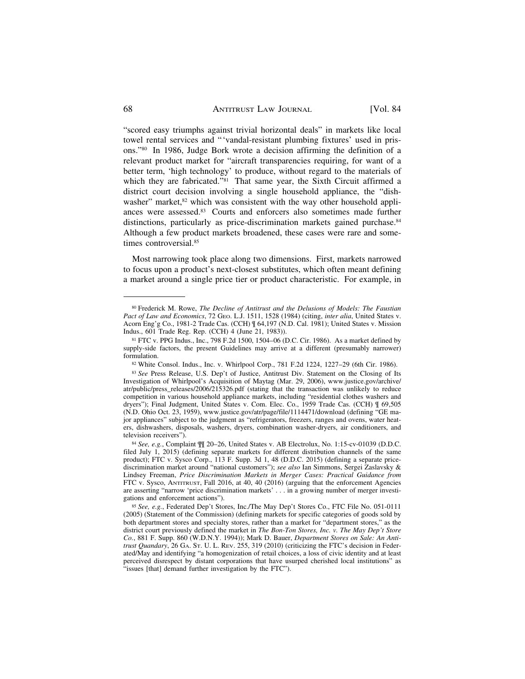"scored easy triumphs against trivial horizontal deals" in markets like local towel rental services and "'vandal-resistant plumbing fixtures' used in prisons."80 In 1986, Judge Bork wrote a decision affirming the definition of a relevant product market for "aircraft transparencies requiring, for want of a better term, 'high technology' to produce, without regard to the materials of which they are fabricated."<sup>81</sup> That same year, the Sixth Circuit affirmed a district court decision involving a single household appliance, the "dishwasher" market,<sup>82</sup> which was consistent with the way other household appliances were [assessed.83](https://assessed.83) Courts and enforcers also sometimes made further distinctions, particularly as price-discrimination markets gained purchase.<sup>84</sup> Although a few product markets broadened, these cases were rare and sometimes [controversial.85](https://controversial.85)

Most narrowing took place along two dimensions. First, markets narrowed to focus upon a product's next-closest substitutes, which often meant defining a market around a single price tier or product characteristic. For example, in

<sup>80</sup> Frederick M. Rowe, *The Decline of Antitrust and the Delusions of Models: The Faustian Pact of Law and Economics*, 72 GEO. L.J. 1511, 1528 (1984) (citing, *inter alia*, United States v. Acorn Eng'g Co., 1981-2 Trade Cas. (CCH) ¶ 64,197 (N.D. Cal. 1981); United States v. Mission Indus., 601 Trade Reg. Rep. (CCH) 4 (June 21, 1983)).

<sup>81</sup> FTC v. PPG Indus., Inc., 798 F.2d 1500, 1504–06 (D.C. Cir. 1986). As a market defined by supply-side factors, the present Guidelines may arrive at a different (presumably narrower) formulation.

<sup>82</sup> White Consol. Indus., Inc. v. Whirlpool Corp., 781 F.2d 1224, 1227–29 (6th Cir. 1986).

<sup>83</sup> See Press Release, U.S. Dep't of Justice, Antitrust Div. Statement on the Closing of Its Investigation of Whirlpool's Acquisition of Maytag (Mar. 29, 2006), [www.justice.gov/archive/](www.justice.gov/archive) atr/public/press\_releases/2006/215326.pdf (stating that the transaction was unlikely to reduce competition in various household appliance markets, including "residential clothes washers and dryers"); Final Judgment, United States v. Com. Elec. Co., 1959 Trade Cas. (CCH) ¶ 69,505 (N.D. Ohio Oct. 23, 1959),<www.justice.gov/atr/page/file/1114471/download>(defining "GE major appliances" subject to the judgment as "refrigerators, freezers, ranges and ovens, water heaters, dishwashers, disposals, washers, dryers, combination washer-dryers, air conditioners, and television receivers").

<sup>84</sup>*See, e.g.*, Complaint ¶¶ 20–26, United States v. AB Electrolux, No. 1:15-cv-01039 (D.D.C. filed July 1, 2015) (defining separate markets for different distribution channels of the same product); FTC v. Sysco Corp., 113 F. Supp. 3d 1, 48 (D.D.C. 2015) (defining a separate pricediscrimination market around "national customers"); *see also* Ian Simmons, Sergei Zaslavsky & Lindsey Freeman, *Price Discrimination Markets in Merger Cases: Practical Guidance from*  FTC v. Sysco, ANTITRUST, Fall 2016, at 40, 40 (2016) (arguing that the enforcement Agencies are asserting "narrow 'price discrimination markets' . . . in a growing number of merger investigations and enforcement actions").

<sup>85</sup>*See, e.g.*, Federated Dep't Stores, Inc./The May Dep't Stores Co., FTC File No. 051-0111 (2005) (Statement of the Commission) (defining markets for specific categories of goods sold by both department stores and specialty stores, rather than a market for "department stores," as the district court previously defined the market in *The Bon-Ton Stores, Inc. v. The May Dep't Store Co.*, 881 F. Supp. 860 (W.D.N.Y. 1994)); Mark D. Bauer, *Department Stores on Sale: An Antitrust Quandary*, 26 GA. ST. U. L. REV. 255, 319 (2010) (criticizing the FTC's decision in Federated/May and identifying "a homogenization of retail choices, a loss of civic identity and at least perceived disrespect by distant corporations that have usurped cherished local institutions" as "issues [that] demand further investigation by the FTC").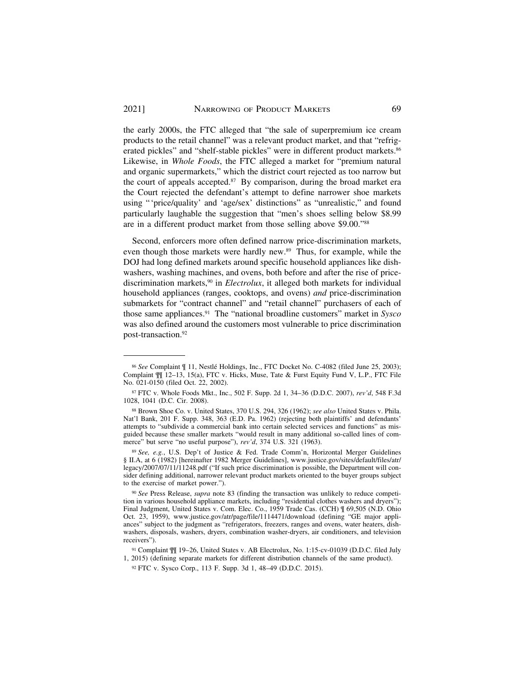the early 2000s, the FTC alleged that "the sale of superpremium ice cream products to the retail channel" was a relevant product market, and that "refrigerated pickles" and "shelf-stable pickles" were in different product markets.<sup>86</sup> Likewise, in *Whole Foods*, the FTC alleged a market for "premium natural and organic supermarkets," which the district court rejected as too narrow but the court of appeals accepted.<sup>87</sup> By comparison, during the broad market era the Court rejected the defendant's attempt to define narrower shoe markets using "'price/quality' and 'age/sex' distinctions" as "unrealistic," and found particularly laughable the suggestion that "men's shoes selling below \$8.99 are in a different product market from those selling above \$9.00."88

Second, enforcers more often defined narrow price-discrimination markets, even though those markets were hardly new.<sup>89</sup> Thus, for example, while the DOJ had long defined markets around specific household appliances like dishwashers, washing machines, and ovens, both before and after the rise of pricediscrimination markets,<sup>90</sup> in *Electrolux*, it alleged both markets for individual household appliances (ranges, cooktops, and ovens) *and* price-discrimination submarkets for "contract channel" and "retail channel" purchasers of each of those same [appliances.91](https://appliances.91) The "national broadline customers" market in *Sysco*  was also defined around the customers most vulnerable to price discrimination [post-transaction.92](https://post-transaction.92)

<sup>&</sup>lt;sup>86</sup> See Complaint ¶ 11, Nestlé Holdings, Inc., FTC Docket No. C-4082 (filed June 25, 2003); Complaint ¶¶ 12–13, 15(a), FTC v. Hicks, Muse, Tate & Furst Equity Fund V, L.P., FTC File No. 021-0150 (filed Oct. 22, 2002).

<sup>87</sup> FTC v. Whole Foods Mkt., Inc., 502 F. Supp. 2d 1, 34–36 (D.D.C. 2007), *rev'd*, 548 F.3d 1028, 1041 (D.C. Cir. 2008).

<sup>88</sup> Brown Shoe Co. v. United States, 370 U.S. 294, 326 (1962); *see also* United States v. Phila. Nat'l Bank, 201 F. Supp. 348, 363 (E.D. Pa. 1962) (rejecting both plaintiffs' and defendants' attempts to "subdivide a commercial bank into certain selected services and functions" as misguided because these smaller markets "would result in many additional so-called lines of commerce" but serve "no useful purpose"), *rev'd*, 374 U.S. 321 (1963).

<sup>89</sup>*See, e.g.*, U.S. Dep't of Justice & Fed. Trade Comm'n, Horizontal Merger Guidelines § II.A, at 6 (1982) [hereinafter 1982 Merger Guidelines], [www.justice.gov/sites/default/files/atr/](www.justice.gov/sites/default/files/atr) legacy/2007/07/11/11248.pdf ("If such price discrimination is possible, the Department will consider defining additional, narrower relevant product markets oriented to the buyer groups subject to the exercise of market power.").

<sup>90</sup> *See* Press Release, *supra* note 83 (finding the transaction was unlikely to reduce competition in various household appliance markets, including "residential clothes washers and dryers"); Final Judgment, United States v. Com. Elec. Co., 1959 Trade Cas. (CCH) ¶ 69,505 (N.D. Ohio Oct. 23, 1959), <www.justice.gov/atr/page/file/1114471/download> (defining "GE major appliances" subject to the judgment as "refrigerators, freezers, ranges and ovens, water heaters, dishwashers, disposals, washers, dryers, combination washer-dryers, air conditioners, and television receivers").

<sup>91</sup> Complaint ¶¶ 19–26, United States v. AB Electrolux, No. 1:15-cv-01039 (D.D.C. filed July 1, 2015) (defining separate markets for different distribution channels of the same product).

<sup>92</sup> FTC v. Sysco Corp., 113 F. Supp. 3d 1, 48–49 (D.D.C. 2015).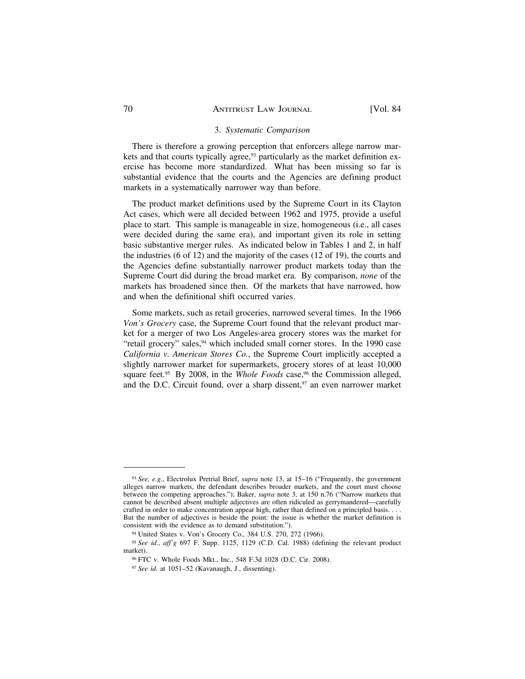### 3. *Systematic Comparison*

There is therefore a growing perception that enforcers allege narrow markets and that courts typically agree,<sup>93</sup> particularly as the market definition exercise has become more standardized. What has been missing so far is substantial evidence that the courts and the Agencies are defining product markets in a systematically narrower way than before.

The product market definitions used by the Supreme Court in its Clayton Act cases, which were all decided between 1962 and 1975, provide a useful place to start. This sample is manageable in size, homogeneous (i.e., all cases were decided during the same era), and important given its role in setting basic substantive merger rules. As indicated below in Tables 1 and 2, in half the industries (6 of 12) and the majority of the cases (12 of 19), the courts and the Agencies define substantially narrower product markets today than the Supreme Court did during the broad market era. By comparison, *none* of the markets has broadened since then. Of the markets that have narrowed, how and when the definitional shift occurred varies.

Some markets, such as retail groceries, narrowed several times. In the 1966 *Von's Grocery* case, the Supreme Court found that the relevant product market for a merger of two Los Angeles-area grocery stores was the market for "retail grocery" sales,<sup>94</sup> which included small corner stores. In the 1990 case *California v. American Stores Co.*, the Supreme Court implicitly accepted a slightly narrower market for supermarkets, grocery stores of at least 10,000 square feet.<sup>95</sup> By 2008, in the *Whole Foods* case,<sup>96</sup> the Commission alleged, and the D.C. Circuit found, over a sharp dissent, $97$  an even narrower market

<sup>93</sup>*See, e.g.*, Electrolux Pretrial Brief, *supra* note 13, at 15–16 ("Frequently, the government alleges narrow markets, the defendant describes broader markets, and the court must choose between the competing approaches."); Baker, *supra* note 3, at 150 n.76 ("Narrow markets that cannot be described absent multiple adjectives are often ridiculed as gerrymandered—carefully crafted in order to make concentration appear high, rather than defined on a principled basis. . . . But the number of adjectives is beside the point: the issue is whether the market definition is consistent with the evidence as to demand substitution.").

<sup>94</sup> United States v. Von's Grocery Co., 384 U.S. 270, 272 (1966).

<sup>95</sup>*See id.*, *aff'g* 697 F. Supp. 1125, 1129 (C.D. Cal. 1988) (defining the relevant product market).

<sup>96</sup> FTC v. Whole Foods Mkt., Inc., 548 F.3d 1028 (D.C. Cir. 2008).

<sup>97</sup> *See id.* at 1051–52 (Kavanaugh, J., dissenting).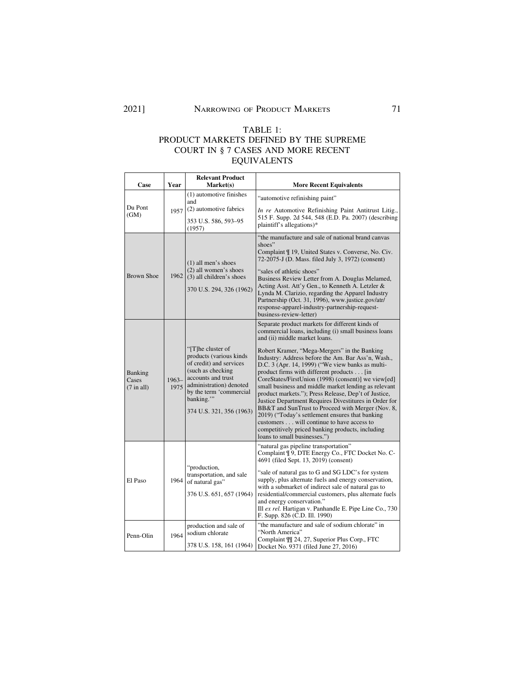# TABLE 1: PRODUCT MARKETS DEFINED BY THE SUPREME COURT IN § 7 CASES AND MORE RECENT EQUIVALENTS

| Case                                    | Year            | <b>Relevant Product</b><br>Market(s)                                                                                                                                                                              | <b>More Recent Equivalents</b>                                                                                                                                                                                                                                                                                                                                                                                                                                                                                                                                                                                                                                                                                                                                                                                            |  |
|-----------------------------------------|-----------------|-------------------------------------------------------------------------------------------------------------------------------------------------------------------------------------------------------------------|---------------------------------------------------------------------------------------------------------------------------------------------------------------------------------------------------------------------------------------------------------------------------------------------------------------------------------------------------------------------------------------------------------------------------------------------------------------------------------------------------------------------------------------------------------------------------------------------------------------------------------------------------------------------------------------------------------------------------------------------------------------------------------------------------------------------------|--|
| Du Pont<br>(GM)                         | 1957            | (1) automotive finishes<br>and                                                                                                                                                                                    | "automotive refinishing paint"                                                                                                                                                                                                                                                                                                                                                                                                                                                                                                                                                                                                                                                                                                                                                                                            |  |
|                                         |                 | (2) automotive fabrics<br>353 U.S. 586, 593–95<br>(1957)                                                                                                                                                          | In re Automotive Refinishing Paint Antitrust Litig.,<br>515 F. Supp. 2d 544, 548 (E.D. Pa. 2007) (describing<br>plaintiff's allegations)*                                                                                                                                                                                                                                                                                                                                                                                                                                                                                                                                                                                                                                                                                 |  |
| <b>Brown Shoe</b>                       |                 | $(1)$ all men's shoes<br>(2) all women's shoes<br>1962 (3) all children's shoes<br>370 U.S. 294, 326 (1962)                                                                                                       | "the manufacture and sale of national brand canvas<br>shoes"<br>Complaint ¶ 19, United States v. Converse, No. Civ.<br>72-2075-J (D. Mass. filed July 3, 1972) (consent)<br>"sales of athletic shoes"<br>Business Review Letter from A. Douglas Melamed,<br>Acting Asst. Att'y Gen., to Kenneth A. Letzler &<br>Lynda M. Clarizio, regarding the Apparel Industry<br>Partnership (Oct. 31, 1996), www.justice.gov/atr/<br>response-apparel-industry-partnership-request-<br>business-review-letter)                                                                                                                                                                                                                                                                                                                       |  |
| <b>Banking</b><br>Cases<br>$(7$ in all) | $1963-$<br>1975 | "[T]he cluster of<br>products (various kinds<br>of credit) and services<br>(such as checking<br>accounts and trust<br>administration) denoted<br>by the term 'commercial<br>banking."<br>374 U.S. 321, 356 (1963) | Separate product markets for different kinds of<br>commercial loans, including (i) small business loans<br>and (ii) middle market loans.<br>Robert Kramer, "Mega-Mergers" in the Banking<br>Industry: Address before the Am. Bar Ass'n, Wash.,<br>D.C. 3 (Apr. 14, 1999) ("We view banks as multi-<br>product firms with different products [in<br>CoreStates/FirstUnion (1998) (consent)] we view[ed]<br>small business and middle market lending as relevant<br>product markets."); Press Release, Dep't of Justice,<br>Justice Department Requires Divestitures in Order for<br>BB&T and SunTrust to Proceed with Merger (Nov. 8,<br>2019) ("Today's settlement ensures that banking"<br>customers will continue to have access to<br>competitively priced banking products, including<br>loans to small businesses.") |  |
| El Paso                                 | 1964            | "production,<br>transportation, and sale<br>of natural gas"<br>376 U.S. 651, 657 (1964)                                                                                                                           | "natural gas pipeline transportation"<br>Complaint ¶ 9, DTE Energy Co., FTC Docket No. C-<br>4691 (filed Sept. 13, 2019) (consent)<br>"sale of natural gas to G and SG LDC's for system<br>supply, plus alternate fuels and energy conservation,<br>with a submarket of indirect sale of natural gas to<br>residential/commercial customers, plus alternate fuels<br>and energy conservation."<br>Ill ex rel. Hartigan v. Panhandle E. Pipe Line Co., 730<br>F. Supp. 826 (C.D. Ill. 1990)                                                                                                                                                                                                                                                                                                                                |  |
| Penn-Olin                               | 1964            | production and sale of<br>sodium chlorate<br>378 U.S. 158, 161 (1964)                                                                                                                                             | "the manufacture and sale of sodium chlorate" in<br>"North America"<br>Complaint $\P$ 24, 27, Superior Plus Corp., FTC<br>Docket No. 9371 (filed June 27, 2016)                                                                                                                                                                                                                                                                                                                                                                                                                                                                                                                                                                                                                                                           |  |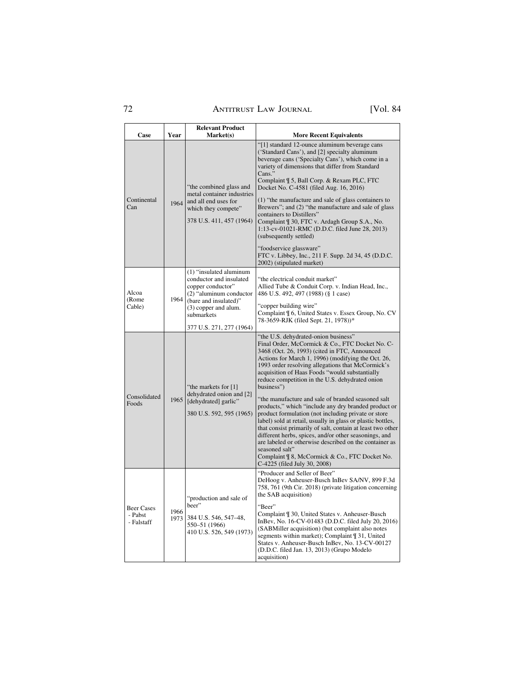# 72 ANTITRUST LAW JOURNAL [Vol. 84

| Case                                       | Year | <b>Relevant Product</b><br>Market(s)                                                                                                                                                          |                                                                                                                                                                                                                                                                                                                                                                                                                                                                                                                                                                                                                                                                                                                                                                                                                                                                                                 |
|--------------------------------------------|------|-----------------------------------------------------------------------------------------------------------------------------------------------------------------------------------------------|-------------------------------------------------------------------------------------------------------------------------------------------------------------------------------------------------------------------------------------------------------------------------------------------------------------------------------------------------------------------------------------------------------------------------------------------------------------------------------------------------------------------------------------------------------------------------------------------------------------------------------------------------------------------------------------------------------------------------------------------------------------------------------------------------------------------------------------------------------------------------------------------------|
|                                            |      |                                                                                                                                                                                               | <b>More Recent Equivalents</b><br>"[1] standard 12-ounce aluminum beverage cans                                                                                                                                                                                                                                                                                                                                                                                                                                                                                                                                                                                                                                                                                                                                                                                                                 |
| Continental<br>Can                         | 1964 | "the combined glass and<br>metal container industries<br>and all end uses for<br>which they compete"<br>378 U.S. 411, 457 (1964)                                                              | ('Standard Cans'), and [2] specialty aluminum<br>beverage cans ('Specialty Cans'), which come in a<br>variety of dimensions that differ from Standard<br>Cans."<br>Complaint ¶ 5, Ball Corp. & Rexam PLC, FTC<br>Docket No. C-4581 (filed Aug. 16, 2016)<br>(1) "the manufacture and sale of glass containers to<br>Brewers"; and (2) "the manufacture and sale of glass<br>containers to Distillers"<br>Complaint ¶ 30, FTC v. Ardagh Group S.A., No.<br>1:13-cv-01021-RMC (D.D.C. filed June 28, 2013)<br>(subsequently settled)                                                                                                                                                                                                                                                                                                                                                              |
|                                            |      |                                                                                                                                                                                               | "foodservice glassware"<br>FTC v. Libbey, Inc., 211 F. Supp. 2d 34, 45 (D.D.C.<br>2002) (stipulated market)                                                                                                                                                                                                                                                                                                                                                                                                                                                                                                                                                                                                                                                                                                                                                                                     |
| Alcoa<br>(Rome<br>Cable)                   | 1964 | (1) "insulated aluminum<br>conductor and insulated<br>copper conductor"<br>(2) "aluminum conductor<br>(bare and insulated)"<br>(3) copper and alum.<br>submarkets<br>377 U.S. 271, 277 (1964) | "the electrical conduit market"<br>Allied Tube & Conduit Corp. v. Indian Head, Inc.,<br>486 U.S. 492, 497 (1988) (§ 1 case)<br>"copper building wire"<br>Complaint ¶ 6, United States v. Essex Group, No. CV<br>78-3659-RJK (filed Sept. 21, 1978))*                                                                                                                                                                                                                                                                                                                                                                                                                                                                                                                                                                                                                                            |
| Consolidated<br>Foods                      | 1965 | "the markets for [1]<br>dehydrated onion and [2]<br>[dehydrated] garlic"<br>380 U.S. 592, 595 (1965)                                                                                          | "the U.S. dehydrated-onion business"<br>Final Order, McCormick & Co., FTC Docket No. C-<br>3468 (Oct. 26, 1993) (cited in FTC, Announced<br>Actions for March 1, 1996) (modifying the Oct. 26,<br>1993 order resolving allegations that McCormick's<br>acquisition of Haas Foods "would substantially<br>reduce competition in the U.S. dehydrated onion<br>business")<br>"the manufacture and sale of branded seasoned salt<br>products," which "include any dry branded product or<br>product formulation (not including private or store<br>label) sold at retail, usually in glass or plastic bottles,<br>that consist primarily of salt, contain at least two other<br>different herbs, spices, and/or other seasonings, and<br>are labeled or otherwise described on the container as<br>seasoned salt"<br>Complaint ¶ 8, McCormick & Co., FTC Docket No.<br>C-4225 (filed July 30, 2008) |
| <b>Beer Cases</b><br>- Pabst<br>- Falstaff | 1966 | "production and sale of<br>beer"<br>1973 384 U.S. 546, 547-48,<br>550-51 (1966)<br>410 U.S. 526, 549 (1973)                                                                                   | "Producer and Seller of Beer"<br>DeHoog v. Anheuser-Busch InBev SA/NV, 899 F.3d<br>758, 761 (9th Cir. 2018) (private litigation concerning<br>the SAB acquisition)<br>"Beer"<br>Complaint ¶ 30, United States v. Anheuser-Busch<br>InBev, No. 16-CV-01483 (D.D.C. filed July 20, 2016)<br>(SABMiller acquisition) (but complaint also notes<br>segments within market); Complaint ¶ 31, United<br>States v. Anheuser-Busch InBev, No. 13-CV-00127<br>(D.D.C. filed Jan. 13, 2013) (Grupo Modelo<br>acquisition)                                                                                                                                                                                                                                                                                                                                                                                 |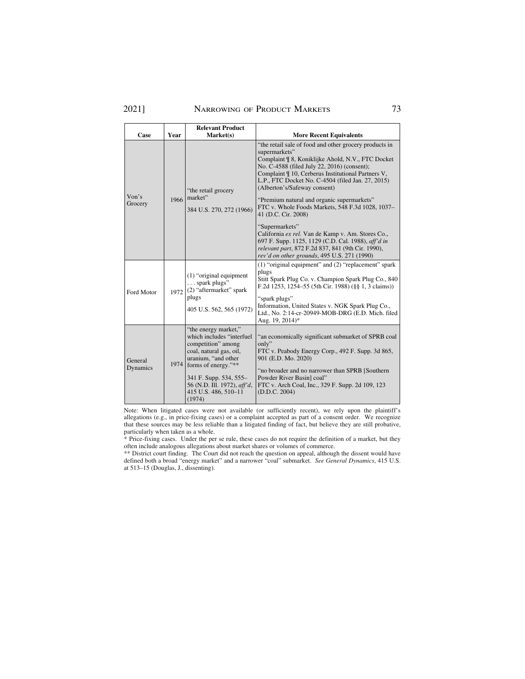# 2021] NARROWING OF PRODUCT MARKETS 73

| Case                | Year | <b>Relevant Product</b><br>Market(s)                                                                                                                                                                                                             | <b>More Recent Equivalents</b>                                                                                                                                                                                                                                                                                                                                                                                                                                    |
|---------------------|------|--------------------------------------------------------------------------------------------------------------------------------------------------------------------------------------------------------------------------------------------------|-------------------------------------------------------------------------------------------------------------------------------------------------------------------------------------------------------------------------------------------------------------------------------------------------------------------------------------------------------------------------------------------------------------------------------------------------------------------|
| Von's<br>Grocery    | 1966 | "the retail grocery<br>market"<br>384 U.S. 270, 272 (1966)                                                                                                                                                                                       | "the retail sale of food and other grocery products in<br>supermarkets"<br>Complaint ¶ 8, Koniklijke Ahold, N.V., FTC Docket<br>No. C-4588 (filed July 22, 2016) (consent);<br>Complaint ¶ 10, Cerberus Institutional Partners V,<br>L.P., FTC Docket No. C-4504 (filed Jan. 27, 2015)<br>(Alberton's/Safeway consent)<br>"Premium natural and organic supermarkets"<br>FTC v. Whole Foods Markets, 548 F.3d 1028, 1037-<br>41 (D.C. Cir. 2008)<br>"Supermarkets" |
|                     |      |                                                                                                                                                                                                                                                  | California ex rel. Van de Kamp v. Am. Stores Co.,<br>697 F. Supp. 1125, 1129 (C.D. Cal. 1988), aff'd in<br>relevant part, 872 F.2d 837, 841 (9th Cir. 1990),<br>rev'd on other grounds, 495 U.S. 271 (1990)                                                                                                                                                                                                                                                       |
| Ford Motor          | 1972 | $(1)$ "original equipment"<br>$\ldots$ spark plugs"<br>(2) "aftermarket" spark<br>plugs<br>405 U.S. 562, 565 (1972)                                                                                                                              | (1) "original equipment" and (2) "replacement" spark<br>plugs<br>Stitt Spark Plug Co. v. Champion Spark Plug Co., 840<br>F.2d 1253, 1254–55 (5th Cir. 1988) (§§ 1, 3 claims))                                                                                                                                                                                                                                                                                     |
|                     |      |                                                                                                                                                                                                                                                  | "spark plugs"<br>Information, United States v. NGK Spark Plug Co.,<br>Ltd., No. 2:14-cr-20949-MOB-DRG (E.D. Mich. filed<br>Aug. 19, 2014)*                                                                                                                                                                                                                                                                                                                        |
| General<br>Dynamics |      | "the energy market,"<br>which includes "interfuel<br>competition" among<br>coal, natural gas, oil,<br>uranium, "and other<br>1974 forms of energy."**<br>341 F. Supp. 534, 555-<br>56 (N.D. Ill. 1972), aff'd,<br>415 U.S. 486, 510-11<br>(1974) | "an economically significant submarket of SPRB coal<br>only"<br>FTC v. Peabody Energy Corp., 492 F. Supp. 3d 865,<br>901 (E.D. Mo. 2020)<br>"no broader and no narrower than SPRB [Southern]<br>Powder River Basin] coal"<br>FTC v. Arch Coal, Inc., 329 F. Supp. 2d 109, 123<br>(D.D.C. 2004)                                                                                                                                                                    |

Note: When litigated cases were not available (or sufficiently recent), we rely upon the plaintiff's allegations (e.g., in price-fixing cases) or a complaint accepted as part of a consent order. We recognize that these sources may be less reliable than a litigated finding of fact, but believe they are still probative, particularly when taken as a whole.

\* Price-fixing cases. Under the per se rule, these cases do not require the definition of a market, but they often include analogous allegations about market shares or volumes of commerce.

 defined both a broad "energy market" and a narrower "coal" submarket. *See General Dynamics*, 415 U.S. \*\* District court finding. The Court did not reach the question on appeal, although the dissent would have at 513–15 (Douglas, J., dissenting).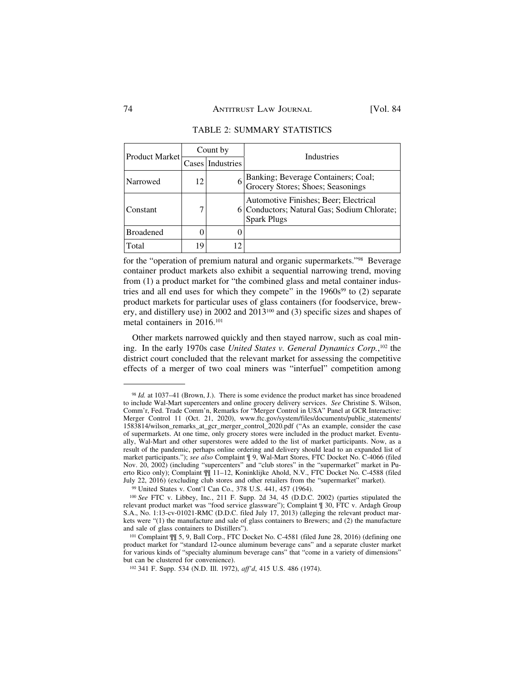| <b>Product Market</b> | Count by |                  | Industries                                                                                                 |  |
|-----------------------|----------|------------------|------------------------------------------------------------------------------------------------------------|--|
|                       |          | Cases Industries |                                                                                                            |  |
| Narrowed              | 12       |                  | Banking; Beverage Containers; Coal;<br>Grocery Stores; Shoes; Seasonings                                   |  |
| Constant              |          |                  | Automotive Finishes; Beer; Electrical<br>6 Conductors; Natural Gas; Sodium Chlorate;<br><b>Spark Plugs</b> |  |
| <b>Broadened</b>      |          |                  |                                                                                                            |  |
| Total                 | 19       | 12               |                                                                                                            |  |

### TABLE 2: SUMMARY STATISTICS

for the "operation of premium natural and organic supermarkets."98 Beverage container product markets also exhibit a sequential narrowing trend, moving from (1) a product market for "the combined glass and metal container industries and all end uses for which they compete" in the  $1960s<sup>99</sup>$  to  $(2)$  separate product markets for particular uses of glass containers (for foodservice, brewery, and distillery use) in 2002 and 2013100 and (3) specific sizes and shapes of metal containers in 2016.101

Other markets narrowed quickly and then stayed narrow, such as coal mining. In the early 1970s case *United States v. General Dynamics Corp.*, 102 the district court concluded that the relevant market for assessing the competitive effects of a merger of two coal miners was "interfuel" competition among

<sup>98</sup>*Id.* at 1037–41 (Brown, J.). There is some evidence the product market has since broadened to include Wal-Mart supercenters and online grocery delivery services. *See* Christine S. Wilson, Comm'r, Fed. Trade Comm'n, Remarks for "Merger Control in USA" Panel at GCR Interactive: Merger Control 11 (Oct. 21, 2020), [www.ftc.gov/system/files/documents/public\\_statements/](www.ftc.gov/system/files/documents/public_statements) 1583814/wilson\_remarks\_at\_gcr\_merger\_control\_2020.pdf ("As an example, consider the case of supermarkets. At one time, only grocery stores were included in the product market. Eventually, Wal-Mart and other superstores were added to the list of market participants. Now, as a result of the pandemic, perhaps online ordering and delivery should lead to an expanded list of market participants."); *see also* Complaint ¶ 9, Wal-Mart Stores, FTC Docket No. C-4066 (filed Nov. 20, 2002) (including "supercenters" and "club stores" in the "supermarket" market in Puerto Rico only); Complaint  $\mathbb{N}$  11–12, Koninklijke Ahold, N.V., FTC Docket No. C-4588 (filed July 22, 2016) (excluding club stores and other retailers from the "supermarket" market).

<sup>&</sup>lt;sup>99</sup> United States v. Cont'l Can Co., 378 U.S. 441, 457 (1964).<br><sup>100</sup> See FTC v. Libbey, Inc., 211 F. Supp. 2d 34, 45 (D.D.C. 2002) (parties stipulated the relevant product market was "food service glassware"); Complaint ¶ 30, FTC v. Ardagh Group S.A., No. 1:13-cv-01021-RMC (D.D.C. filed July 17, 2013) (alleging the relevant product markets were "(1) the manufacture and sale of glass containers to Brewers; and (2) the manufacture and sale of glass containers to Distillers").

<sup>101</sup> Complaint ¶¶ 5, 9, Ball Corp., FTC Docket No. C-4581 (filed June 28, 2016) (defining one product market for "standard 12-ounce aluminum beverage cans" and a separate cluster market for various kinds of "specialty aluminum beverage cans" that "come in a variety of dimensions" but can be clustered for convenience).

<sup>102 341</sup> F. Supp. 534 (N.D. Ill. 1972), *aff'd*, 415 U.S. 486 (1974).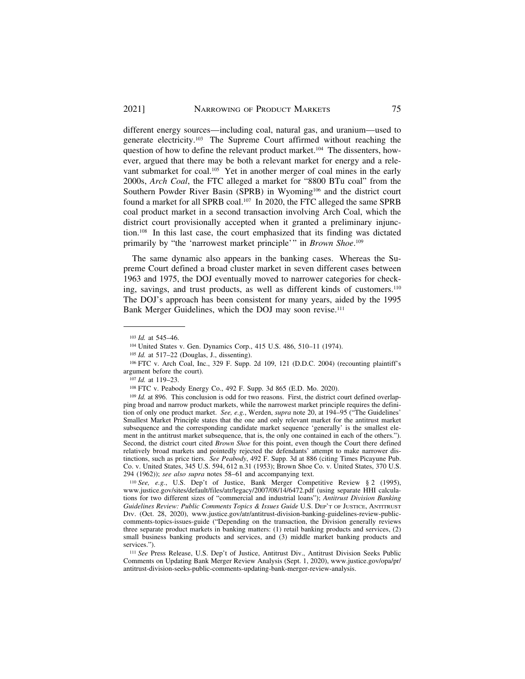different energy sources—including coal, natural gas, and uranium—used to generate electricity.103 The Supreme Court affirmed without reaching the question of how to define the relevant product market.104 The dissenters, however, argued that there may be both a relevant market for energy and a relevant submarket for coal.<sup>105</sup> Yet in another merger of coal mines in the early 2000s, *Arch Coal*, the FTC alleged a market for "8800 BTu coal" from the Southern Powder River Basin (SPRB) in Wyoming<sup>106</sup> and the district court found a market for all SPRB coal.<sup>107</sup> In 2020, the FTC alleged the same SPRB coal product market in a second transaction involving Arch Coal, which the district court provisionally accepted when it granted a preliminary injunction.108 In this last case, the court emphasized that its finding was dictated primarily by "the 'narrowest market principle'" in *Brown Shoe*. 109

The same dynamic also appears in the banking cases. Whereas the Supreme Court defined a broad cluster market in seven different cases between 1963 and 1975, the DOJ eventually moved to narrower categories for checking, savings, and trust products, as well as different kinds of customers.110 The DOJ's approach has been consistent for many years, aided by the 1995 Bank Merger Guidelines, which the DOJ may soon revise.<sup>111</sup>

<sup>&</sup>lt;sup>103</sup> *Id.* at 545–46.<br><sup>104</sup> United States v. Gen. Dynamics Corp., 415 U.S. 486, 510–11 (1974).<br><sup>105</sup> *Id.* at 517–22 (Douglas, J., dissenting).<br><sup>105</sup> FTC v. Arch Coal, Inc., 329 F. Supp. 2d 109, 121 (D.D.C. 2004) (recoun argument before the court).

<sup>&</sup>lt;sup>107</sup> *Id.* at 119–23.<br><sup>108</sup> FTC v. Peabody Energy Co., 492 F. Supp. 3d 865 (E.D. Mo. 2020).<br><sup>109</sup> *Id.* at 896. This conclusion is odd for two reasons. First, the district court defined overlapping broad and narrow product markets, while the narrowest market principle requires the definition of only one product market. *See, e.g.*, Werden, *supra* note 20, at 194–95 ("The Guidelines' Smallest Market Principle states that the one and only relevant market for the antitrust market subsequence and the corresponding candidate market sequence 'generally' is the smallest element in the antitrust market subsequence, that is, the only one contained in each of the others."). Second, the district court cited *Brown Shoe* for this point, even though the Court there defined relatively broad markets and pointedly rejected the defendants' attempt to make narrower distinctions, such as price tiers. *See Peabody*, 492 F. Supp. 3d at 886 (citing Times Picayune Pub. Co. v. United States, 345 U.S. 594, 612 n.31 (1953); Brown Shoe Co. v. United States, 370 U.S. 294 (1962)); *see also supra* notes 58–61 and accompanying text. 110 *See, e.g.*, U.S. Dep't of Justice, Bank Merger Competitive Review § 2 (1995),

<www.justice.gov/sites/default/files/atr/legacy/2007/08/14/6472.pdf> (using separate HHI calculations for two different sizes of "commercial and industrial loans"); *Antitrust Division Banking Guidelines Review: Public Comments Topics & Issues Guide* U.S. DEP'T OF JUSTICE, ANTITRUST DIV. (Oct. 28, 2020), <www.justice.gov/atr/antitrust-division-banking-guidelines-review-public>comments-topics-issues-guide ("Depending on the transaction, the Division generally reviews three separate product markets in banking matters: (1) retail banking products and services, (2) small business banking products and services, and (3) middle market banking products and services.").

<sup>&</sup>lt;sup>111</sup> See Press Release, U.S. Dep't of Justice, Antitrust Div., Antitrust Division Seeks Public Comments on Updating Bank Merger Review Analysis (Sept. 1, 2020), [www.justice.gov/opa/pr/](www.justice.gov/opa/pr) antitrust-division-seeks-public-comments-updating-bank-merger-review-analysis.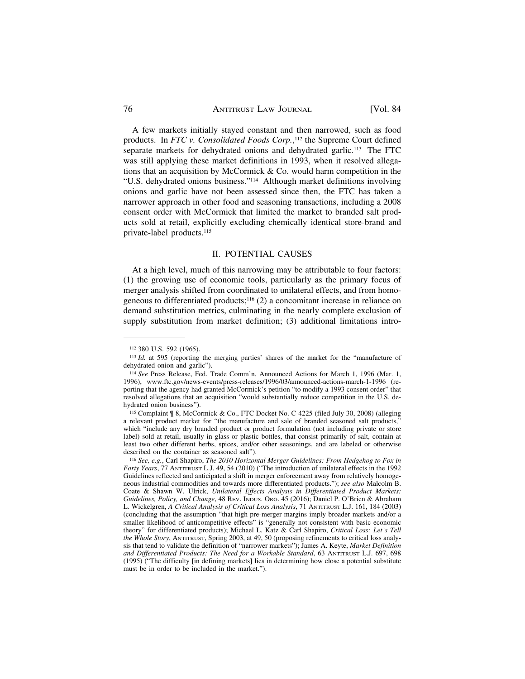A few markets initially stayed constant and then narrowed, such as food products. In *FTC v. Consolidated Foods Corp.*, 112 the Supreme Court defined separate markets for dehydrated onions and dehydrated garlic.<sup>113</sup> The FTC was still applying these market definitions in 1993, when it resolved allegations that an acquisition by McCormick & Co. would harm competition in the "U.S. dehydrated onions business."114 Although market definitions involving onions and garlic have not been assessed since then, the FTC has taken a narrower approach in other food and seasoning transactions, including a 2008 consent order with McCormick that limited the market to branded salt products sold at retail, explicitly excluding chemically identical store-brand and private-label products.115

## II. POTENTIAL CAUSES

At a high level, much of this narrowing may be attributable to four factors: (1) the growing use of economic tools, particularly as the primary focus of merger analysis shifted from coordinated to unilateral effects, and from homogeneous to differentiated products;<sup>116</sup> $(2)$  a concomitant increase in reliance on demand substitution metrics, culminating in the nearly complete exclusion of supply substitution from market definition; (3) additional limitations intro-

<sup>112 380</sup> U.S. 592 (1965). 113 *Id.* at 595 (reporting the merging parties' shares of the market for the "manufacture of dehydrated onion and garlic").

<sup>114</sup>*See* Press Release, Fed. Trade Comm'n, Announced Actions for March 1, 1996 (Mar. 1, 1996), <www.ftc.gov/news-events/press-releases/1996/03/announced-actions-march-1-1996> (reporting that the agency had granted McCormick's petition "to modify a 1993 consent order" that resolved allegations that an acquisition "would substantially reduce competition in the U.S. dehydrated onion business").

<sup>115</sup> Complaint ¶ 8, McCormick & Co., FTC Docket No. C-4225 (filed July 30, 2008) (alleging a relevant product market for "the manufacture and sale of branded seasoned salt products," which "include any dry branded product or product formulation (not including private or store label) sold at retail, usually in glass or plastic bottles, that consist primarily of salt, contain at least two other different herbs, spices, and/or other seasonings, and are labeled or otherwise described on the container as seasoned salt").

<sup>116</sup>*See, e.g.*, Carl Shapiro, *The 2010 Horizontal Merger Guidelines: From Hedgehog to Fox in Forty Years*, 77 ANTITRUST L.J. 49, 54 (2010) ("The introduction of unilateral effects in the 1992 Guidelines reflected and anticipated a shift in merger enforcement away from relatively homogeneous industrial commodities and towards more differentiated products."); *see also* Malcolm B. Coate & Shawn W. Ulrick, *Unilateral Effects Analysis in Differentiated Product Markets: Guidelines, Policy, and Change*, 48 REV. INDUS. ORG. 45 (2016); Daniel P. O'Brien & Abraham L. Wickelgren, *A Critical Analysis of Critical Loss Analysis*, 71 ANTITRUST L.J. 161, 184 (2003) (concluding that the assumption "that high pre-merger margins imply broader markets and/or a smaller likelihood of anticompetitive effects" is "generally not consistent with basic economic theory" for differentiated products); Michael L. Katz & Carl Shapiro, *Critical Loss: Let's Tell the Whole Story*, ANTITRUST, Spring 2003, at 49, 50 (proposing refinements to critical loss analysis that tend to validate the definition of "narrower markets"); James A. Keyte, *Market Definition and Differentiated Products: The Need for a Workable Standard*, 63 ANTITRUST L.J. 697, 698 (1995) ("The difficulty [in defining markets] lies in determining how close a potential substitute must be in order to be included in the market.").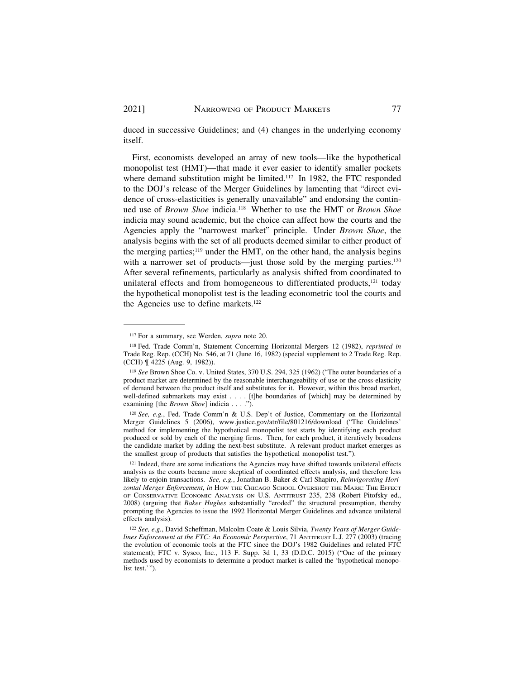duced in successive Guidelines; and (4) changes in the underlying economy itself.

First, economists developed an array of new tools—like the hypothetical monopolist test (HMT)—that made it ever easier to identify smaller pockets where demand substitution might be limited.<sup>117</sup> In 1982, the FTC responded to the DOJ's release of the Merger Guidelines by lamenting that "direct evidence of cross-elasticities is generally unavailable" and endorsing the continued use of *Brown Shoe* indicia.118 Whether to use the HMT or *Brown Shoe*  indicia may sound academic, but the choice can affect how the courts and the Agencies apply the "narrowest market" principle. Under *Brown Shoe*, the analysis begins with the set of all products deemed similar to either product of the merging parties; $119$  under the HMT, on the other hand, the analysis begins with a narrower set of products—just those sold by the merging parties.<sup>120</sup> After several refinements, particularly as analysis shifted from coordinated to unilateral effects and from homogeneous to differentiated products,<sup>121</sup> today the hypothetical monopolist test is the leading econometric tool the courts and the Agencies use to define markets.122

<sup>117</sup> For a summary, see Werden, *supra* note 20.

<sup>118</sup> Fed. Trade Comm'n, Statement Concerning Horizontal Mergers 12 (1982), *reprinted in*  Trade Reg. Rep. (CCH) No. 546, at 71 (June 16, 1982) (special supplement to 2 Trade Reg. Rep. (CCH) ¶ 4225 (Aug. 9, 1982)).

<sup>119</sup>*See* Brown Shoe Co. v. United States, 370 U.S. 294, 325 (1962) ("The outer boundaries of a product market are determined by the reasonable interchangeability of use or the cross-elasticity of demand between the product itself and substitutes for it. However, within this broad market, well-defined submarkets may exist . . . . [t]he boundaries of [which] may be determined by examining [the *Brown Shoe*] indicia . . . .").

<sup>120</sup>*See, e.g.*, Fed. Trade Comm'n & U.S. Dep't of Justice, Commentary on the Horizontal Merger Guidelines 5 (2006), <www.justice.gov/atr/file/801216/download>("The Guidelines' method for implementing the hypothetical monopolist test starts by identifying each product produced or sold by each of the merging firms. Then, for each product, it iteratively broadens the candidate market by adding the next-best substitute. A relevant product market emerges as the smallest group of products that satisfies the hypothetical monopolist test.").

<sup>121</sup> Indeed, there are some indications the Agencies may have shifted towards unilateral effects analysis as the courts became more skeptical of coordinated effects analysis, and therefore less likely to enjoin transactions. *See, e.g.*, Jonathan B. Baker & Carl Shapiro, *Reinvigorating Horizontal Merger Enforcement*, *in* HOW THE CHICAGO SCHOOL OVERSHOT THE MARK: THE EFFECT OF CONSERVATIVE ECONOMIC ANALYSIS ON U.S. ANTITRUST 235, 238 (Robert Pitofsky ed., 2008) (arguing that *Baker Hughes* substantially "eroded" the structural presumption, thereby prompting the Agencies to issue the 1992 Horizontal Merger Guidelines and advance unilateral effects analysis).

<sup>122</sup> *See, e.g.*, David Scheffman, Malcolm Coate & Louis Silvia, *Twenty Years of Merger Guidelines Enforcement at the FTC: An Economic Perspective*, 71 ANTITRUST L.J. 277 (2003) (tracing the evolution of economic tools at the FTC since the DOJ's 1982 Guidelines and related FTC statement); FTC v. Sysco, Inc., 113 F. Supp. 3d 1, 33 (D.D.C. 2015) ("One of the primary methods used by economists to determine a product market is called the 'hypothetical monopolist test.'").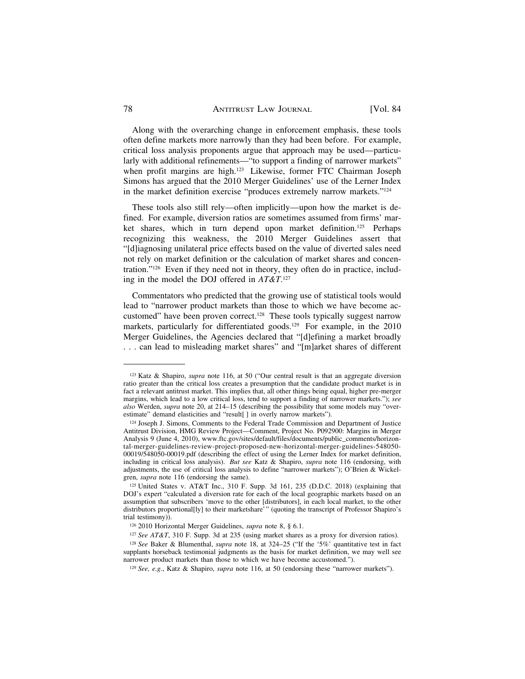Along with the overarching change in enforcement emphasis, these tools often define markets more narrowly than they had been before. For example, critical loss analysis proponents argue that approach may be used—particularly with additional refinements—"to support a finding of narrower markets" when profit margins are high.<sup>123</sup> Likewise, former FTC Chairman Joseph Simons has argued that the 2010 Merger Guidelines' use of the Lerner Index in the market definition exercise "produces extremely narrow markets."124

These tools also still rely—often implicitly—upon how the market is defined. For example, diversion ratios are sometimes assumed from firms' market shares, which in turn depend upon market definition.<sup>125</sup> Perhaps recognizing this weakness, the 2010 Merger Guidelines assert that "[d]iagnosing unilateral price effects based on the value of diverted sales need not rely on market definition or the calculation of market shares and concentration."126 Even if they need not in theory, they often do in practice, including in the model the DOJ offered in *AT&T*. 127

Commentators who predicted that the growing use of statistical tools would lead to "narrower product markets than those to which we have become accustomed" have been proven correct.<sup>128</sup> These tools typically suggest narrow markets, particularly for differentiated goods.<sup>129</sup> For example, in the 2010 Merger Guidelines, the Agencies declared that "[d]efining a market broadly . . . can lead to misleading market shares" and "[m]arket shares of different

<sup>123</sup> Katz & Shapiro, *supra* note 116, at 50 ("Our central result is that an aggregate diversion ratio greater than the critical loss creates a presumption that the candidate product market is in fact a relevant antitrust market. This implies that, all other things being equal, higher pre-merger margins, which lead to a low critical loss, tend to support a finding of narrower markets."); *see also* Werden, *supra* note 20, at 214–15 (describing the possibility that some models may "overestimate" demand elasticities and "result[ ] in overly narrow markets").

<sup>124</sup> Joseph J. Simons, Comments to the Federal Trade Commission and Department of Justice Antitrust Division, HMG Review Project—Comment, Project No. P092900: Margins in Merger Analysis 9 (June 4, 2010), [www.ftc.gov/sites/default/files/documents/public\\_comments/horizon](www.ftc.gov/sites/default/files/documents/public_comments/horizon)tal-merger-guidelines-review-project-proposed-new-horizontal-merger-guidelines-548050- 00019/548050-00019.pdf (describing the effect of using the Lerner Index for market definition, including in critical loss analysis). *But see* Katz & Shapiro, *supra* note 116 (endorsing, with adjustments, the use of critical loss analysis to define "narrower markets"); O'Brien & Wickelgren, *supra* note 116 (endorsing the same).

<sup>125</sup> United States v. AT&T Inc., 310 F. Supp. 3d 161, 235 (D.D.C. 2018) (explaining that DOJ's expert "calculated a diversion rate for each of the local geographic markets based on an assumption that subscribers 'move to the other [distributors], in each local market, to the other distributors proportional[ly] to their marketshare'" (quoting the transcript of Professor Shapiro's trial testimony)).

<sup>126 2010</sup> Horizontal Merger Guidelines, *supra* note 8, § 6.1.

<sup>127</sup>*See AT&T*, 310 F. Supp. 3d at 235 (using market shares as a proxy for diversion ratios).

<sup>128</sup>*See* Baker & Blumenthal, *supra* note 18, at 324–25 ("If the '5%' quantitative test in fact supplants horseback testimonial judgments as the basis for market definition, we may well see narrower product markets than those to which we have become accustomed.").

<sup>129</sup> *See, e.g.*, Katz & Shapiro, *supra* note 116, at 50 (endorsing these "narrower markets").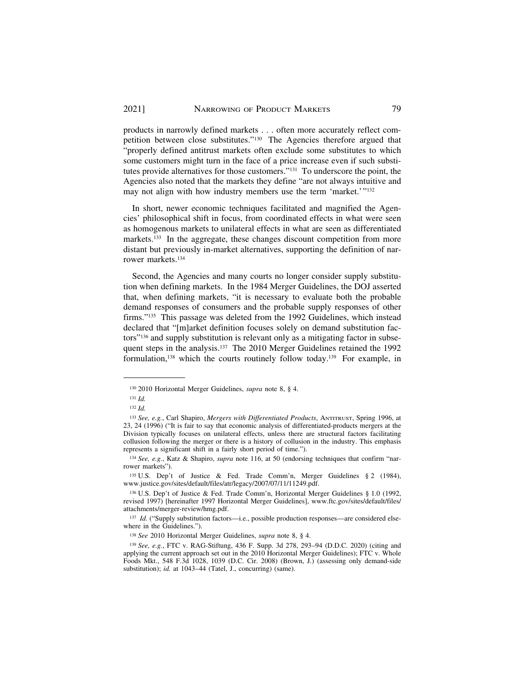products in narrowly defined markets . . . often more accurately reflect competition between close substitutes."130 The Agencies therefore argued that "properly defined antitrust markets often exclude some substitutes to which some customers might turn in the face of a price increase even if such substitutes provide alternatives for those customers."131 To underscore the point, the Agencies also noted that the markets they define "are not always intuitive and may not align with how industry members use the term 'market.'"<sup>132</sup>

In short, newer economic techniques facilitated and magnified the Agencies' philosophical shift in focus, from coordinated effects in what were seen as homogenous markets to unilateral effects in what are seen as differentiated markets.<sup>133</sup> In the aggregate, these changes discount competition from more distant but previously in-market alternatives, supporting the definition of narrower markets.134

Second, the Agencies and many courts no longer consider supply substitution when defining markets. In the 1984 Merger Guidelines, the DOJ asserted that, when defining markets, "it is necessary to evaluate both the probable demand responses of consumers and the probable supply responses of other firms."135 This passage was deleted from the 1992 Guidelines, which instead declared that "[m]arket definition focuses solely on demand substitution factors"136 and supply substitution is relevant only as a mitigating factor in subsequent steps in the analysis.<sup>137</sup> The 2010 Merger Guidelines retained the 1992 formulation,138 which the courts routinely follow today.139 For example, in

<sup>130 2010</sup> Horizontal Merger Guidelines, *supra* note 8, § 4.

<sup>131</sup>*Id.* 

<sup>132</sup>*Id.* 

<sup>133</sup>*See, e.g.*, Carl Shapiro, *Mergers with Differentiated Products*, ANTITRUST, Spring 1996, at 23, 24 (1996) ("It is fair to say that economic analysis of differentiated-products mergers at the Division typically focuses on unilateral effects, unless there are structural factors facilitating collusion following the merger or there is a history of collusion in the industry. This emphasis represents a significant shift in a fairly short period of time.").

<sup>134</sup> *See, e.g.*, Katz & Shapiro, *supra* note 116, at 50 (endorsing techniques that confirm "narrower markets").

<sup>135</sup> U.S. Dep't of Justice & Fed. Trade Comm'n, Merger Guidelines § 2 (1984), [www.justice.gov/sites/default/files/atr/legacy/2007/07/11/11249.pdf.](www.justice.gov/sites/default/files/atr/legacy/2007/07/11/11249.pdf)

<sup>136</sup> U.S. Dep't of Justice & Fed. Trade Comm'n, Horizontal Merger Guidelines § 1.0 (1992, revised 1997) [hereinafter 1997 Horizontal Merger Guidelines], [www.ftc.gov/sites/default/files/](www.ftc.gov/sites/default/files) attachments/merger-review/hmg.pdf.

<sup>137</sup> Id. ("Supply substitution factors-i.e., possible production responses-are considered elsewhere in the Guidelines.").

<sup>138</sup>*See* 2010 Horizontal Merger Guidelines, *supra* note 8, § 4.

<sup>139</sup>*See, e.g.*, FTC v. RAG-Stiftung, 436 F. Supp. 3d 278, 293–94 (D.D.C. 2020) (citing and applying the current approach set out in the 2010 Horizontal Merger Guidelines); FTC v. Whole Foods Mkt., 548 F.3d 1028, 1039 (D.C. Cir. 2008) (Brown, J.) (assessing only demand-side substitution); *id.* at 1043-44 (Tatel, J., concurring) (same).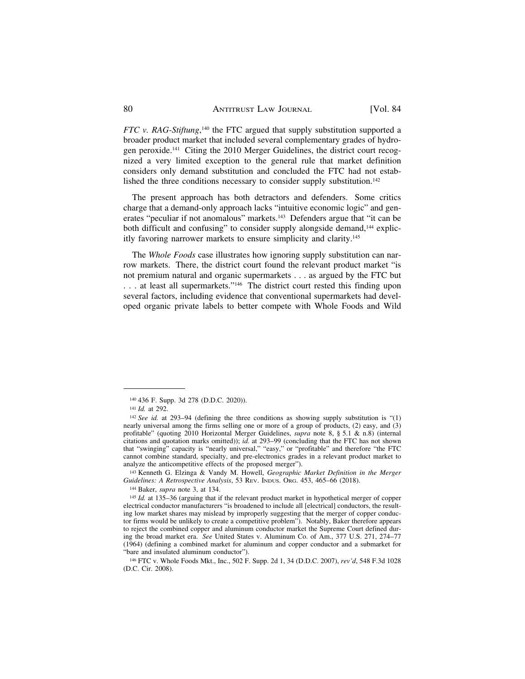*FTC v. RAG-Stiftung*,<sup>140</sup> the FTC argued that supply substitution supported a broader product market that included several complementary grades of hydrogen peroxide.141 Citing the 2010 Merger Guidelines, the district court recognized a very limited exception to the general rule that market definition considers only demand substitution and concluded the FTC had not established the three conditions necessary to consider supply substitution.<sup>142</sup>

The present approach has both detractors and defenders. Some critics charge that a demand-only approach lacks "intuitive economic logic" and generates "peculiar if not anomalous" markets.143 Defenders argue that "it can be both difficult and confusing" to consider supply alongside demand,<sup>144</sup> explicitly favoring narrower markets to ensure simplicity and clarity.145

The *Whole Foods* case illustrates how ignoring supply substitution can narrow markets. There, the district court found the relevant product market "is not premium natural and organic supermarkets . . . as argued by the FTC but . . . at least all supermarkets."146 The district court rested this finding upon several factors, including evidence that conventional supermarkets had developed organic private labels to better compete with Whole Foods and Wild

143 Kenneth G. Elzinga & Vandy M. Howell, *Geographic Market Definition in the Merger* 

<sup>140 436</sup> F. Supp. 3d 278 (D.D.C. 2020)). 141 *Id.* at 292.

<sup>142</sup>*See id.* at 293–94 (defining the three conditions as showing supply substitution is "(1) nearly universal among the firms selling one or more of a group of products, (2) easy, and (3) profitable" (quoting 2010 Horizontal Merger Guidelines, *supra* note 8, § 5.1 & n.8) (internal citations and quotation marks omitted)); *id.* at 293–99 (concluding that the FTC has not shown that "swinging" capacity is "nearly universal," "easy," or "profitable" and therefore "the FTC cannot combine standard, specialty, and pre-electronics grades in a relevant product market to analyze the anticompetitive effects of the proposed merger").

<sup>&</sup>lt;sup>144</sup> Baker, *supra* note 3, at 134.<br><sup>145</sup> *Id.* at 135–36 (arguing that if the relevant product market in hypothetical merger of copper electrical conductor manufacturers "is broadened to include all [electrical] conductors, the resulting low market shares may mislead by improperly suggesting that the merger of copper conductor firms would be unlikely to create a competitive problem"). Notably, Baker therefore appears to reject the combined copper and aluminum conductor market the Supreme Court defined during the broad market era. *See* United States v. Aluminum Co. of Am., 377 U.S. 271, 274–77 (1964) (defining a combined market for aluminum and copper conductor and a submarket for "bare and insulated aluminum conductor").

<sup>146</sup> FTC v. Whole Foods Mkt., Inc., 502 F. Supp. 2d 1, 34 (D.D.C. 2007), *rev'd*, 548 F.3d 1028 (D.C. Cir. 2008).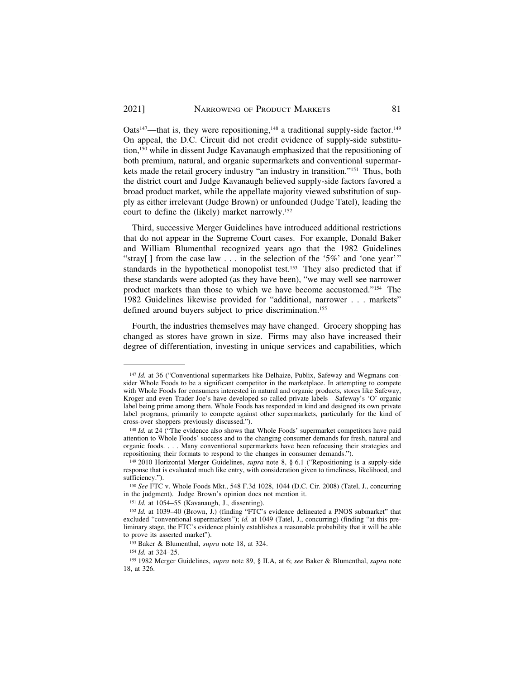Oats<sup>147</sup>—that is, they were repositioning,<sup>148</sup> a traditional supply-side factor.<sup>149</sup> On appeal, the D.C. Circuit did not credit evidence of supply-side substitution,150 while in dissent Judge Kavanaugh emphasized that the repositioning of both premium, natural, and organic supermarkets and conventional supermarkets made the retail grocery industry "an industry in transition."151 Thus, both the district court and Judge Kavanaugh believed supply-side factors favored a broad product market, while the appellate majority viewed substitution of supply as either irrelevant (Judge Brown) or unfounded (Judge Tatel), leading the court to define the (likely) market narrowly.152

Third, successive Merger Guidelines have introduced additional restrictions that do not appear in the Supreme Court cases. For example, Donald Baker and William Blumenthal recognized years ago that the 1982 Guidelines "stray[] from the case law  $\ldots$  in the selection of the '5%' and 'one year'" standards in the hypothetical monopolist test.<sup>153</sup> They also predicted that if these standards were adopted (as they have been), "we may well see narrower product markets than those to which we have become accustomed."154 The 1982 Guidelines likewise provided for "additional, narrower . . . markets" defined around buyers subject to price discrimination.<sup>155</sup>

Fourth, the industries themselves may have changed. Grocery shopping has changed as stores have grown in size. Firms may also have increased their degree of differentiation, investing in unique services and capabilities, which

<sup>147</sup> *Id.* at 36 ("Conventional supermarkets like Delhaize, Publix, Safeway and Wegmans consider Whole Foods to be a significant competitor in the marketplace. In attempting to compete with Whole Foods for consumers interested in natural and organic products, stores like Safeway, Kroger and even Trader Joe's have developed so-called private labels—Safeway's 'O' organic label being prime among them. Whole Foods has responded in kind and designed its own private label programs, primarily to compete against other supermarkets, particularly for the kind of cross-over shoppers previously discussed.").

<sup>&</sup>lt;sup>148</sup> *Id.* at 24 ("The evidence also shows that Whole Foods' supermarket competitors have paid attention to Whole Foods' success and to the changing consumer demands for fresh, natural and organic foods. . . . Many conventional supermarkets have been refocusing their strategies and repositioning their formats to respond to the changes in consumer demands.").

<sup>149 2010</sup> Horizontal Merger Guidelines, *supra* note 8, § 6.1 ("Repositioning is a supply-side response that is evaluated much like entry, with consideration given to timeliness, likelihood, and sufficiency.").

<sup>150</sup>*See* FTC v. Whole Foods Mkt., 548 F.3d 1028, 1044 (D.C. Cir. 2008) (Tatel, J., concurring in the judgment). Judge Brown's opinion does not mention it.

<sup>151</sup>*Id.* at 1054–55 (Kavanaugh, J., dissenting). 152 *Id.* at 1039–40 (Brown, J.) (finding "FTC's evidence delineated a PNOS submarket" that excluded "conventional supermarkets"); *id.* at 1049 (Tatel, J., concurring) (finding "at this preliminary stage, the FTC's evidence plainly establishes a reasonable probability that it will be able to prove its asserted market").

<sup>153</sup> Baker & Blumenthal, *supra* note 18, at 324. 154 *Id.* at 324–25. 155 1982 Merger Guidelines, *supra* note 89, § II.A, at 6; *see* Baker & Blumenthal, *supra* note 18, at 326.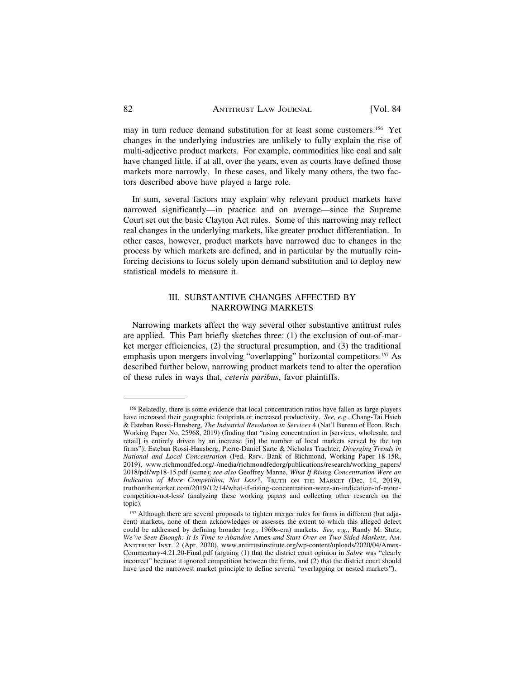may in turn reduce demand substitution for at least some customers.156 Yet changes in the underlying industries are unlikely to fully explain the rise of multi-adjective product markets. For example, commodities like coal and salt have changed little, if at all, over the years, even as courts have defined those markets more narrowly. In these cases, and likely many others, the two factors described above have played a large role.

In sum, several factors may explain why relevant product markets have narrowed significantly—in practice and on average—since the Supreme Court set out the basic Clayton Act rules. Some of this narrowing may reflect real changes in the underlying markets, like greater product differentiation. In other cases, however, product markets have narrowed due to changes in the process by which markets are defined, and in particular by the mutually reinforcing decisions to focus solely upon demand substitution and to deploy new statistical models to measure it.

# III. SUBSTANTIVE CHANGES AFFECTED BY NARROWING MARKETS

Narrowing markets affect the way several other substantive antitrust rules are applied. This Part briefly sketches three: (1) the exclusion of out-of-market merger efficiencies, (2) the structural presumption, and (3) the traditional emphasis upon mergers involving "overlapping" horizontal competitors.157 As described further below, narrowing product markets tend to alter the operation of these rules in ways that, *ceteris paribus*, favor plaintiffs.

<sup>156</sup> Relatedly, there is some evidence that local concentration ratios have fallen as large players have increased their geographic footprints or increased productivity. *See, e.g.*, Chang-Tai Hsieh & Esteban Rossi-Hansberg, *The Industrial Revolution in Services* 4 (Nat'l Bureau of Econ. Rsch. Working Paper No. 25968, 2019) (finding that "rising concentration in [services, wholesale, and retail] is entirely driven by an increase [in] the number of local markets served by the top firms"); Esteban Rossi-Hansberg, Pierre-Daniel Sarte & Nicholas Trachter, *Diverging Trends in National and Local Concentration* (Fed. Rsrv. Bank of Richmond, Working Paper 18-15R, 2019), [www.richmondfed.org/-/media/richmondfedorg/publications/research/working\\_papers/](www.richmondfed.org/-/media/richmondfedorg/publications/research/working_papers) 2018/pdf/wp18-15.pdf (same); *see also* Geoffrey Manne, *What If Rising Concentration Were an Indication of More Competition, Not Less?*, TRUTH ON THE MARKET (Dec. 14, 2019), [truthonthemarket.com/2019/12/14/what-if-rising-concentration-were-an-indication-of-more](https://truthonthemarket.com/2019/12/14/what-if-rising-concentration-were-an-indication-of-more)competition-not-less/ (analyzing these working papers and collecting other research on the topic).

<sup>&</sup>lt;sup>157</sup> Although there are several proposals to tighten merger rules for firms in different (but adjacent) markets, none of them acknowledges or assesses the extent to which this alleged defect could be addressed by defining broader (*e.g.*, 1960s-era) markets. *See, e.g.*, Randy M. Stutz, *We've Seen Enough: It Is Time to Abandon* Amex *and Start Over on Two-Sided Markets*, AM. ANTITRUST INST. 2 (Apr. 2020), <www.antitrustinstitute.org/wp-content/uploads/2020/04/Amex>-Commentary-4.21.20-Final.pdf (arguing (1) that the district court opinion in *Sabre* was "clearly incorrect" because it ignored competition between the firms, and (2) that the district court should have used the narrowest market principle to define several "overlapping or nested markets").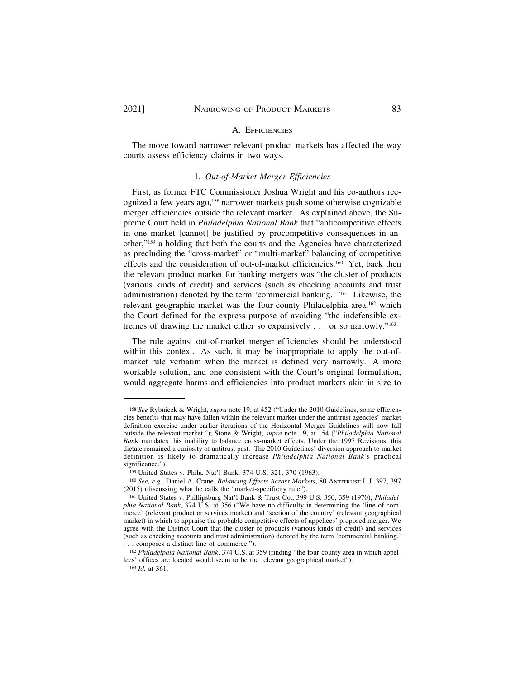#### A. EFFICIENCIES

The move toward narrower relevant product markets has affected the way courts assess efficiency claims in two ways.

#### 1. *Out-of-Market Merger Efficiencies*

First, as former FTC Commissioner Joshua Wright and his co-authors recognized a few years ago,158 narrower markets push some otherwise cognizable merger efficiencies outside the relevant market. As explained above, the Supreme Court held in *Philadelphia National Bank* that "anticompetitive effects in one market [cannot] be justified by procompetitive consequences in another,"159 a holding that both the courts and the Agencies have characterized as precluding the "cross-market" or "multi-market" balancing of competitive effects and the consideration of out-of-market efficiencies.<sup>160</sup> Yet, back then the relevant product market for banking mergers was "the cluster of products (various kinds of credit) and services (such as checking accounts and trust administration) denoted by the term 'commercial banking.'"161 Likewise, the relevant geographic market was the four-county Philadelphia area,<sup>162</sup> which the Court defined for the express purpose of avoiding "the indefensible extremes of drawing the market either so expansively . . . or so narrowly."163

The rule against out-of-market merger efficiencies should be understood within this context. As such, it may be inappropriate to apply the out-ofmarket rule verbatim when the market is defined very narrowly. A more workable solution, and one consistent with the Court's original formulation, would aggregate harms and efficiencies into product markets akin in size to

<sup>158</sup> *See* Rybnicek & Wright, *supra* note 19, at 452 ("Under the 2010 Guidelines, some efficiencies benefits that may have fallen within the relevant market under the antitrust agencies' market definition exercise under earlier iterations of the Horizontal Merger Guidelines will now fall outside the relevant market."); Stone & Wright, *supra* note 19, at 154 ("*Philadelphia National Ban*k mandates this inability to balance cross-market effects. Under the 1997 Revisions, this dictate remained a curiosity of antitrust past. The 2010 Guidelines' diversion approach to market definition is likely to dramatically increase *Philadelphia National Bank*'s practical significance.").

<sup>159</sup> United States v. Phila. Nat'l Bank, 374 U.S. 321, 370 (1963). 160 *See, e.g.*, Daniel A. Crane, *Balancing Effects Across Markets*, 80 ANTITRUST L.J. 397, 397 (2015) (discussing what he calls the "market-specificity rule").

<sup>161</sup> United States v. Phillipsburg Nat'l Bank & Trust Co., 399 U.S. 350, 359 (1970); *Philadelphia National Bank*, 374 U.S. at 356 ("We have no difficulty in determining the 'line of commerce' (relevant product or services market) and 'section of the country' (relevant geographical market) in which to appraise the probable competitive effects of appellees' proposed merger. We agree with the District Court that the cluster of products (various kinds of credit) and services (such as checking accounts and trust administration) denoted by the term 'commercial banking,' . . . composes a distinct line of commerce.").

<sup>162</sup> *Philadelphia National Bank*, 374 U.S. at 359 (finding "the four-county area in which appellees' offices are located would seem to be the relevant geographical market").

<sup>163</sup> *Id.* at 361.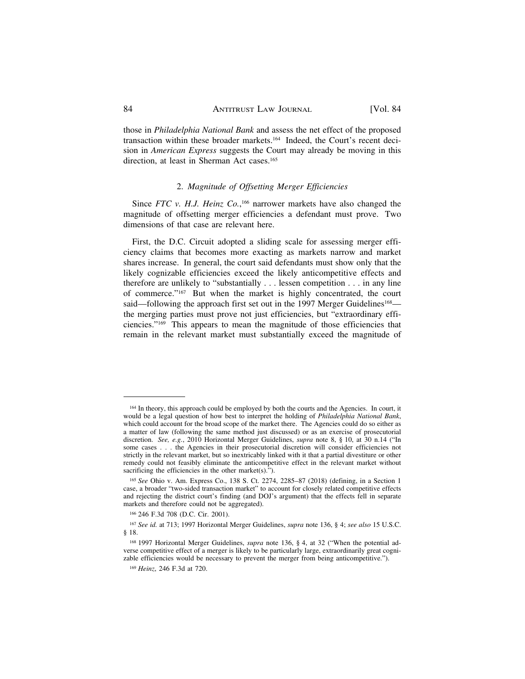those in *Philadelphia National Bank* and assess the net effect of the proposed transaction within these broader markets.164 Indeed, the Court's recent decision in *American Express* suggests the Court may already be moving in this direction, at least in Sherman Act cases.<sup>165</sup>

#### 2. *Magnitude of Offsetting Merger Efficiencies*

Since *FTC v. H.J. Heinz Co.*,<sup>166</sup> narrower markets have also changed the magnitude of offsetting merger efficiencies a defendant must prove. Two dimensions of that case are relevant here.

First, the D.C. Circuit adopted a sliding scale for assessing merger efficiency claims that becomes more exacting as markets narrow and market shares increase. In general, the court said defendants must show only that the likely cognizable efficiencies exceed the likely anticompetitive effects and therefore are unlikely to "substantially . . . lessen competition . . . in any line of commerce."167 But when the market is highly concentrated, the court said—following the approach first set out in the 1997 Merger Guidelines<sup>168</sup> the merging parties must prove not just efficiencies, but "extraordinary efficiencies."169 This appears to mean the magnitude of those efficiencies that remain in the relevant market must substantially exceed the magnitude of

<sup>164</sup> In theory, this approach could be employed by both the courts and the Agencies. In court, it would be a legal question of how best to interpret the holding of *Philadelphia National Bank*, which could account for the broad scope of the market there. The Agencies could do so either as a matter of law (following the same method just discussed) or as an exercise of prosecutorial discretion. *See, e.g.*, 2010 Horizontal Merger Guidelines, *supra* note 8, § 10, at 30 n.14 ("In some cases . . . the Agencies in their prosecutorial discretion will consider efficiencies not strictly in the relevant market, but so inextricably linked with it that a partial divestiture or other remedy could not feasibly eliminate the anticompetitive effect in the relevant market without sacrificing the efficiencies in the other market $(s)$ .").

<sup>165</sup>*See* Ohio v. Am. Express Co., 138 S. Ct. 2274, 2285–87 (2018) (defining, in a Section 1 case, a broader "two-sided transaction market" to account for closely related competitive effects and rejecting the district court's finding (and DOJ's argument) that the effects fell in separate markets and therefore could not be aggregated).

<sup>166 246</sup> F.3d 708 (D.C. Cir. 2001).

<sup>167</sup>*See id.* at 713; 1997 Horizontal Merger Guidelines, *supra* note 136, § 4; *see also* 15 U.S.C. § 18.

<sup>&</sup>lt;sup>168</sup> 1997 Horizontal Merger Guidelines, *supra* note 136, § 4, at 32 ("When the potential adverse competitive effect of a merger is likely to be particularly large, extraordinarily great cognizable efficiencies would be necessary to prevent the merger from being anticompetitive.").

<sup>169</sup> *Heinz*, 246 F.3d at 720.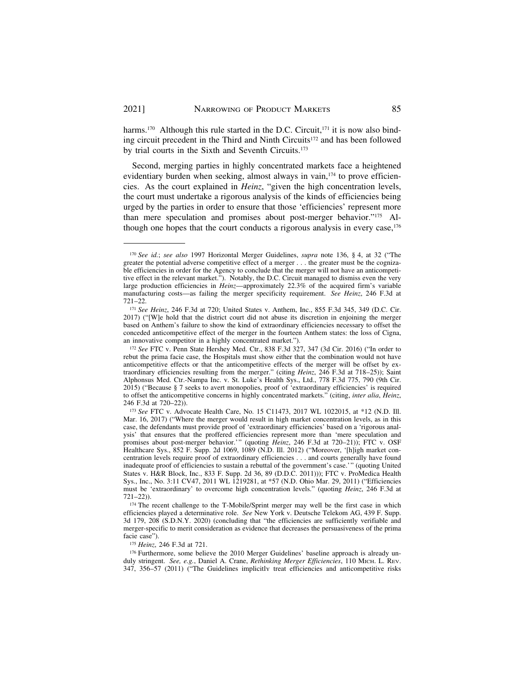harms.<sup>170</sup> Although this rule started in the D.C. Circuit,<sup>171</sup> it is now also binding circuit precedent in the Third and Ninth Circuits<sup>172</sup> and has been followed by trial courts in the Sixth and Seventh Circuits.173

Second, merging parties in highly concentrated markets face a heightened evidentiary burden when seeking, almost always in vain,<sup>174</sup> to prove efficiencies. As the court explained in *Heinz*, "given the high concentration levels, the court must undertake a rigorous analysis of the kinds of efficiencies being urged by the parties in order to ensure that those 'efficiencies' represent more than mere speculation and promises about post-merger behavior."175 Although one hopes that the court conducts a rigorous analysis in every case,<sup>176</sup>

<sup>170</sup>*See id.*; *see also* 1997 Horizontal Merger Guidelines, *supra* note 136, § 4, at 32 ("The greater the potential adverse competitive effect of a merger . . . the greater must be the cognizable efficiencies in order for the Agency to conclude that the merger will not have an anticompetitive effect in the relevant market."). Notably, the D.C. Circuit managed to dismiss even the very large production efficiencies in *Heinz*—approximately 22.3% of the acquired firm's variable manufacturing costs—as failing the merger specificity requirement. *See Heinz*, 246 F.3d at 721–22.

<sup>171</sup>*See Heinz*, 246 F.3d at 720; United States v. Anthem, Inc., 855 F.3d 345, 349 (D.C. Cir. 2017) ("[W]e hold that the district court did not abuse its discretion in enjoining the merger based on Anthem's failure to show the kind of extraordinary efficiencies necessary to offset the conceded anticompetitive effect of the merger in the fourteen Anthem states: the loss of Cigna, an innovative competitor in a highly concentrated market.").

<sup>172</sup>*See* FTC v. Penn State Hershey Med. Ctr., 838 F.3d 327, 347 (3d Cir. 2016) ("In order to rebut the prima facie case, the Hospitals must show either that the combination would not have anticompetitive effects or that the anticompetitive effects of the merger will be offset by extraordinary efficiencies resulting from the merger." (citing *Heinz*, 246 F.3d at 718–25)); Saint Alphonsus Med. Ctr.-Nampa Inc. v. St. Luke's Health Sys., Ltd., 778 F.3d 775, 790 (9th Cir. 2015) ("Because § 7 seeks to avert monopolies, proof of 'extraordinary efficiencies' is required to offset the anticompetitive concerns in highly concentrated markets." (citing, *inter alia*, *Heinz*, 246 F.3d at 720–22)).

<sup>173</sup>*See* FTC v. Advocate Health Care, No. 15 C11473, 2017 WL 1022015, at \*12 (N.D. Ill. Mar. 16, 2017) ("Where the merger would result in high market concentration levels, as in this case, the defendants must provide proof of 'extraordinary efficiencies' based on a 'rigorous analysis' that ensures that the proffered efficiencies represent more than 'mere speculation and promises about post-merger behavior.'" (quoting *Heinz*, 246 F.3d at 720–21)); FTC v. OSF Healthcare Sys., 852 F. Supp. 2d 1069, 1089 (N.D. Ill. 2012) ("Moreover, '[h]igh market concentration levels require proof of extraordinary efficiencies . . . and courts generally have found inadequate proof of efficiencies to sustain a rebuttal of the government's case.'" (quoting United States v. H&R Block, Inc., 833 F. Supp. 2d 36, 89 (D.D.C. 2011))); FTC v. ProMedica Health Sys., Inc., No. 3:11 CV47, 2011 WL 1219281, at \*57 (N.D. Ohio Mar. 29, 2011) ("Efficiencies must be 'extraordinary' to overcome high concentration levels." (quoting *Heinz*, 246 F.3d at 721–22)).

<sup>&</sup>lt;sup>174</sup> The recent challenge to the T-Mobile/Sprint merger may well be the first case in which efficiencies played a determinative role. *See* New York v. Deutsche Telekom AG, 439 F. Supp. 3d 179, 208 (S.D.N.Y. 2020) (concluding that "the efficiencies are sufficiently verifiable and merger-specific to merit consideration as evidence that decreases the persuasiveness of the prima facie case").

<sup>&</sup>lt;sup>175</sup> *Heinz*, 246 F.3d at 721.<br><sup>176</sup> Furthermore, some believe the 2010 Merger Guidelines' baseline approach is already unduly stringent. *See, e.g.*, Daniel A. Crane, *Rethinking Merger Efficiencies*, 110 MICH. L. REV. 347, 356–57 (2011) ("The Guidelines implicitlY treat efficiencies and anticompetitive risks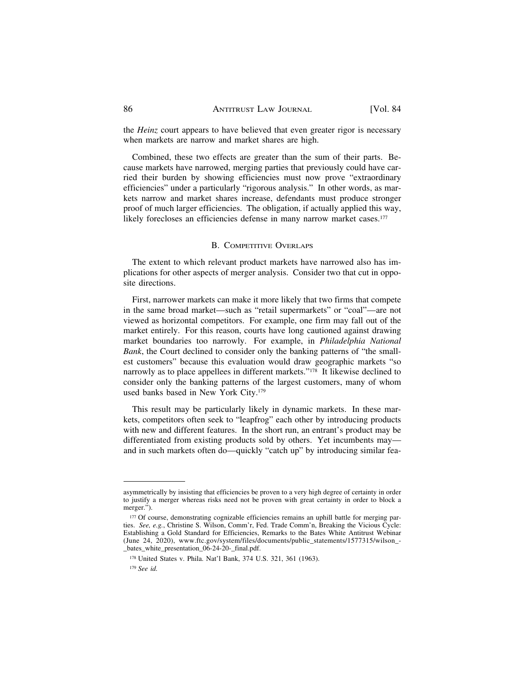the *Heinz* court appears to have believed that even greater rigor is necessary when markets are narrow and market shares are high.

Combined, these two effects are greater than the sum of their parts. Because markets have narrowed, merging parties that previously could have carried their burden by showing efficiencies must now prove "extraordinary efficiencies" under a particularly "rigorous analysis." In other words, as markets narrow and market shares increase, defendants must produce stronger proof of much larger efficiencies. The obligation, if actually applied this way, likely forecloses an efficiencies defense in many narrow market cases.<sup>177</sup>

## B. COMPETITIVE OVERLAPS

The extent to which relevant product markets have narrowed also has implications for other aspects of merger analysis. Consider two that cut in opposite directions.

First, narrower markets can make it more likely that two firms that compete in the same broad market—such as "retail supermarkets" or "coal"—are not viewed as horizontal competitors. For example, one firm may fall out of the market entirely. For this reason, courts have long cautioned against drawing market boundaries too narrowly. For example, in *Philadelphia National Bank*, the Court declined to consider only the banking patterns of "the smallest customers" because this evaluation would draw geographic markets "so narrowly as to place appellees in different markets."178 It likewise declined to consider only the banking patterns of the largest customers, many of whom used banks based in New York City.179

This result may be particularly likely in dynamic markets. In these markets, competitors often seek to "leapfrog" each other by introducing products with new and different features. In the short run, an entrant's product may be differentiated from existing products sold by others. Yet incumbents may and in such markets often do—quickly "catch up" by introducing similar fea-

asymmetrically by insisting that efficiencies be proven to a very high degree of certainty in order to justify a merger whereas risks need not be proven with great certainty in order to block a merger.").

<sup>177</sup> Of course, demonstrating cognizable efficiencies remains an uphill battle for merging parties. *See, e.g.*, Christine S. Wilson, Comm'r, Fed. Trade Comm'n, Breaking the Vicious Cycle: Establishing a Gold Standard for Efficiencies, Remarks to the Bates White Antitrust Webinar (June 24, 2020), [www.ftc.gov/system/files/documents/public\\_statements/1577315/wilson\\_](www.ftc.gov/system/files/documents/public_statements/1577315/wilson)- \_bates\_white\_presentation\_06-24-20-\_final.pdf.

<sup>178</sup> United States v. Phila. Nat'l Bank, 374 U.S. 321, 361 (1963).

<sup>179</sup> *See id.*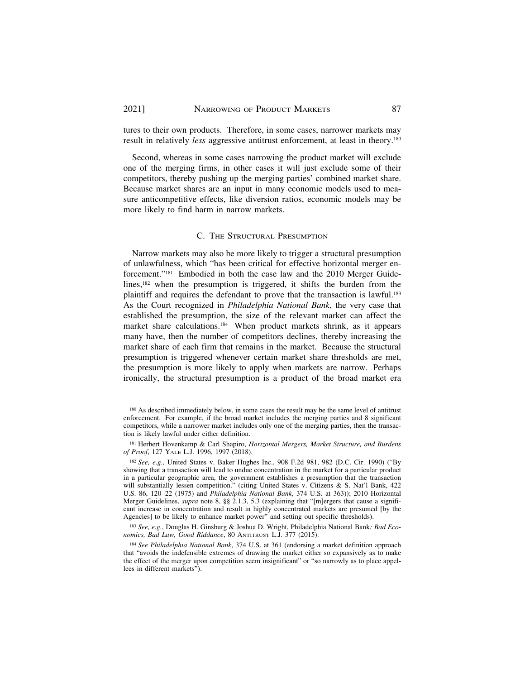tures to their own products. Therefore, in some cases, narrower markets may result in relatively *less* aggressive antitrust enforcement, at least in theory.180

Second, whereas in some cases narrowing the product market will exclude one of the merging firms, in other cases it will just exclude some of their competitors, thereby pushing up the merging parties' combined market share. Because market shares are an input in many economic models used to measure anticompetitive effects, like diversion ratios, economic models may be more likely to find harm in narrow markets.

# C. THE STRUCTURAL PRESUMPTION

Narrow markets may also be more likely to trigger a structural presumption of unlawfulness, which "has been critical for effective horizontal merger enforcement."181 Embodied in both the case law and the 2010 Merger Guidelines,182 when the presumption is triggered, it shifts the burden from the plaintiff and requires the defendant to prove that the transaction is lawful.<sup>183</sup> As the Court recognized in *Philadelphia National Bank*, the very case that established the presumption, the size of the relevant market can affect the market share calculations.184 When product markets shrink, as it appears many have, then the number of competitors declines, thereby increasing the market share of each firm that remains in the market. Because the structural presumption is triggered whenever certain market share thresholds are met, the presumption is more likely to apply when markets are narrow. Perhaps ironically, the structural presumption is a product of the broad market era

<sup>180</sup> As described immediately below, in some cases the result may be the same level of antitrust enforcement. For example, if the broad market includes the merging parties and 8 significant competitors, while a narrower market includes only one of the merging parties, then the transaction is likely lawful under either definition.

<sup>181</sup> Herbert Hovenkamp & Carl Shapiro, *Horizontal Mergers, Market Structure, and Burdens of Proof*, 127 YALE L.J. 1996, 1997 (2018).

<sup>182</sup>*See, e.g.*, United States v. Baker Hughes Inc., 908 F.2d 981, 982 (D.C. Cir. 1990) ("By showing that a transaction will lead to undue concentration in the market for a particular product in a particular geographic area, the government establishes a presumption that the transaction will substantially lessen competition." (citing United States v. Citizens & S. Nat'l Bank, 422 U.S. 86, 120–22 (1975) and *Philadelphia National Bank*, 374 U.S. at 363)); 2010 Horizontal Merger Guidelines, *supra* note 8, §§ 2.1.3, 5.3 (explaining that "[m]ergers that cause a significant increase in concentration and result in highly concentrated markets are presumed [by the Agencies] to be likely to enhance market power" and setting out specific thresholds).

<sup>183</sup> *See, e.g.*, Douglas H. Ginsburg & Joshua D. Wright, Philadelphia National Bank*: Bad Economics, Bad Law, Good Riddance*, 80 ANTITRUST L.J. 377 (2015).

<sup>184</sup>*See Philadelphia National Bank*, 374 U.S. at 361 (endorsing a market definition approach that "avoids the indefensible extremes of drawing the market either so expansively as to make the effect of the merger upon competition seem insignificant" or "so narrowly as to place appellees in different markets").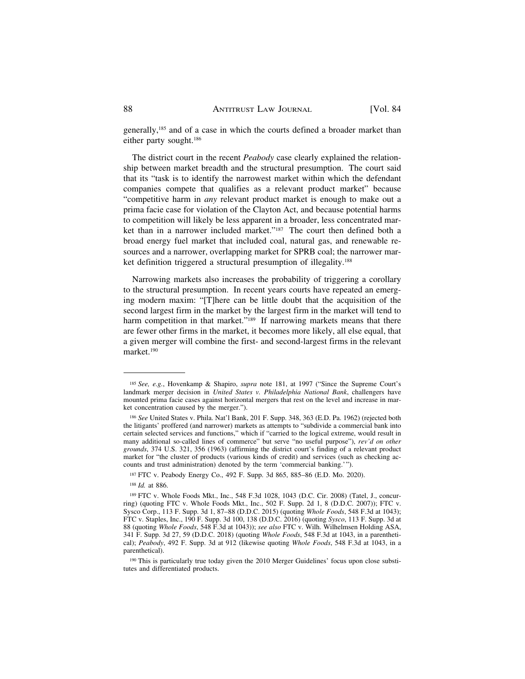generally,185 and of a case in which the courts defined a broader market than either party sought.186

The district court in the recent *Peabody* case clearly explained the relationship between market breadth and the structural presumption. The court said that its "task is to identify the narrowest market within which the defendant companies compete that qualifies as a relevant product market" because "competitive harm in *any* relevant product market is enough to make out a prima facie case for violation of the Clayton Act, and because potential harms to competition will likely be less apparent in a broader, less concentrated market than in a narrower included market."187 The court then defined both a broad energy fuel market that included coal, natural gas, and renewable resources and a narrower, overlapping market for SPRB coal; the narrower market definition triggered a structural presumption of illegality.<sup>188</sup>

Narrowing markets also increases the probability of triggering a corollary to the structural presumption. In recent years courts have repeated an emerging modern maxim: "[T]here can be little doubt that the acquisition of the second largest firm in the market by the largest firm in the market will tend to harm competition in that market."<sup>189</sup> If narrowing markets means that there are fewer other firms in the market, it becomes more likely, all else equal, that a given merger will combine the first- and second-largest firms in the relevant market.190

<sup>185</sup>*See, e.g.*, Hovenkamp & Shapiro, *supra* note 181, at 1997 ("Since the Supreme Court's landmark merger decision in *United States v. Philadelphia National Bank*, challengers have mounted prima facie cases against horizontal mergers that rest on the level and increase in market concentration caused by the merger.").

<sup>186</sup>*See* United States v. Phila. Nat'l Bank, 201 F. Supp. 348, 363 (E.D. Pa. 1962) (rejected both the litigants' proffered (and narrower) markets as attempts to "subdivide a commercial bank into certain selected services and functions," which if "carried to the logical extreme, would result in many additional so-called lines of commerce" but serve "no useful purpose"), *rev'd on other grounds*, 374 U.S. 321, 356 (1963) (affirming the district court's finding of a relevant product market for "the cluster of products (various kinds of credit) and services (such as checking accounts and trust administration) denoted by the term 'commercial banking.'").

<sup>187</sup> FTC v. Peabody Energy Co., 492 F. Supp. 3d 865, 885–86 (E.D. Mo. 2020).

<sup>188</sup>*Id.* at 886.

<sup>189</sup> FTC v. Whole Foods Mkt., Inc., 548 F.3d 1028, 1043 (D.C. Cir. 2008) (Tatel, J., concurring) (quoting FTC v. Whole Foods Mkt., Inc., 502 F. Supp. 2d 1, 8 (D.D.C. 2007)); FTC v. Sysco Corp., 113 F. Supp. 3d 1, 87–88 (D.D.C. 2015) (quoting *Whole Foods*, 548 F.3d at 1043); FTC v. Staples, Inc., 190 F. Supp. 3d 100, 138 (D.D.C. 2016) (quoting *Sysco*, 113 F. Supp. 3d at 88 (quoting *Whole Foods*, 548 F.3d at 1043)); *see also* FTC v. Wilh. Wilhelmsen Holding ASA, 341 F. Supp. 3d 27, 59 (D.D.C. 2018) (quoting *Whole Foods*, 548 F.3d at 1043, in a parenthetical); *Peabody*, 492 F. Supp. 3d at 912 (likewise quoting *Whole Foods*, 548 F.3d at 1043, in a parenthetical).

<sup>&</sup>lt;sup>190</sup> This is particularly true today given the 2010 Merger Guidelines' focus upon close substitutes and differentiated products.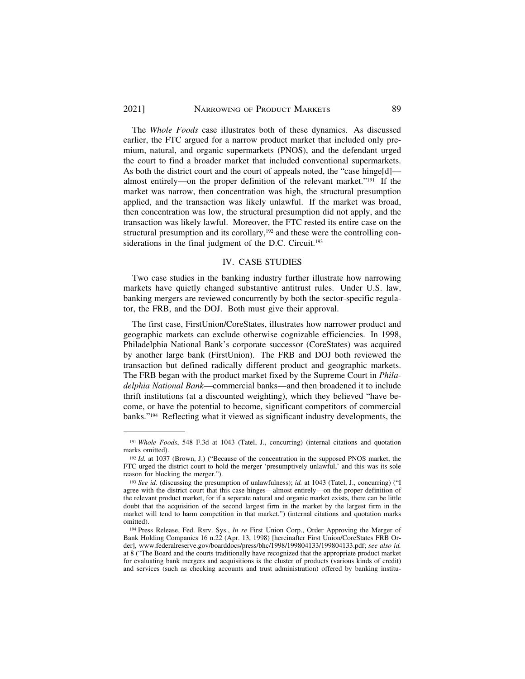The *Whole Foods* case illustrates both of these dynamics. As discussed earlier, the FTC argued for a narrow product market that included only premium, natural, and organic supermarkets (PNOS), and the defendant urged the court to find a broader market that included conventional supermarkets. As both the district court and the court of appeals noted, the "case hinge[d] almost entirely—on the proper definition of the relevant market."191 If the market was narrow, then concentration was high, the structural presumption applied, and the transaction was likely unlawful. If the market was broad, then concentration was low, the structural presumption did not apply, and the transaction was likely lawful. Moreover, the FTC rested its entire case on the structural presumption and its corollary,<sup>192</sup> and these were the controlling considerations in the final judgment of the D.C. Circuit.<sup>193</sup>

## IV. CASE STUDIES

Two case studies in the banking industry further illustrate how narrowing markets have quietly changed substantive antitrust rules. Under U.S. law, banking mergers are reviewed concurrently by both the sector-specific regulator, the FRB, and the DOJ. Both must give their approval.

The first case, FirstUnion/CoreStates, illustrates how narrower product and geographic markets can exclude otherwise cognizable efficiencies. In 1998, Philadelphia National Bank's corporate successor (CoreStates) was acquired by another large bank (FirstUnion). The FRB and DOJ both reviewed the transaction but defined radically different product and geographic markets. The FRB began with the product market fixed by the Supreme Court in *Philadelphia National Bank*—commercial banks—and then broadened it to include thrift institutions (at a discounted weighting), which they believed "have become, or have the potential to become, significant competitors of commercial banks."194 Reflecting what it viewed as significant industry developments, the

<sup>191</sup>*Whole Foods*, 548 F.3d at 1043 (Tatel, J., concurring) (internal citations and quotation marks omitted).

<sup>192</sup>*Id.* at 1037 (Brown, J.) ("Because of the concentration in the supposed PNOS market, the FTC urged the district court to hold the merger 'presumptively unlawful,' and this was its sole reason for blocking the merger.").

<sup>193</sup>*See id.* (discussing the presumption of unlawfulness); *id.* at 1043 (Tatel, J., concurring) ("I agree with the district court that this case hinges—almost entirely—on the proper definition of the relevant product market, for if a separate natural and organic market exists, there can be little doubt that the acquisition of the second largest firm in the market by the largest firm in the market will tend to harm competition in that market.") (internal citations and quotation marks omitted).

<sup>194</sup> Press Release, Fed. Rsrv. Sys., *In re* First Union Corp., Order Approving the Merger of Bank Holding Companies 16 n.22 (Apr. 13, 1998) [hereinafter First Union/CoreStates FRB Order], <www.federalreserve.gov/boarddocs/press/bhc/1998/199804133/199804133.pdf>; *see also id.*  at 8 ("The Board and the courts traditionally have recognized that the appropriate product market for evaluating bank mergers and acquisitions is the cluster of products (various kinds of credit) and services (such as checking accounts and trust administration) offered by banking institu-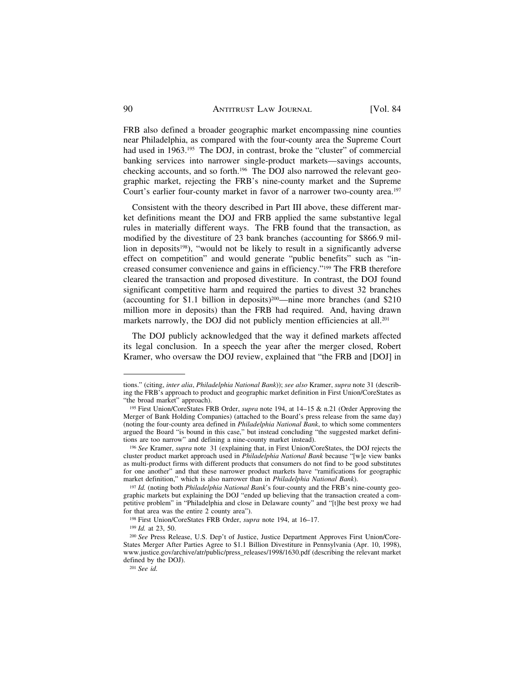FRB also defined a broader geographic market encompassing nine counties near Philadelphia, as compared with the four-county area the Supreme Court had used in 1963.<sup>195</sup> The DOJ, in contrast, broke the "cluster" of commercial banking services into narrower single-product markets—savings accounts, checking accounts, and so forth.196 The DOJ also narrowed the relevant geographic market, rejecting the FRB's nine-county market and the Supreme Court's earlier four-county market in favor of a narrower two-county area.197

Consistent with the theory described in Part III above, these different market definitions meant the DOJ and FRB applied the same substantive legal rules in materially different ways. The FRB found that the transaction, as modified by the divestiture of 23 bank branches (accounting for \$866.9 million in deposits<sup>198</sup>), "would not be likely to result in a significantly adverse effect on competition" and would generate "public benefits" such as "increased consumer convenience and gains in efficiency."199 The FRB therefore cleared the transaction and proposed divestiture. In contrast, the DOJ found significant competitive harm and required the parties to divest 32 branches (accounting for \$1.1 billion in deposits)200—nine more branches (and \$210 million more in deposits) than the FRB had required. And, having drawn markets narrowly, the DOJ did not publicly mention efficiencies at all.<sup>201</sup>

The DOJ publicly acknowledged that the way it defined markets affected its legal conclusion. In a speech the year after the merger closed, Robert Kramer, who oversaw the DOJ review, explained that "the FRB and [DOJ] in

tions." (citing, *inter alia*, *Philadelphia National Bank*)); *see also* Kramer, *supra* note 31 (describing the FRB's approach to product and geographic market definition in First Union/CoreStates as "the broad market" approach).

<sup>195</sup> First Union/CoreStates FRB Order, *supra* note 194, at 14–15 & n.21 (Order Approving the Merger of Bank Holding Companies) (attached to the Board's press release from the same day) (noting the four-county area defined in *Philadelphia National Bank*, to which some commenters argued the Board "is bound in this case," but instead concluding "the suggested market definitions are too narrow" and defining a nine-county market instead).

<sup>196</sup>*See* Kramer, *supra* note 31 (explaining that, in First Union/CoreStates, the DOJ rejects the cluster product market approach used in *Philadelphia National Bank* because "[w]e view banks as multi-product firms with different products that consumers do not find to be good substitutes for one another" and that these narrower product markets have "ramifications for geographic market definition," which is also narrower than in *Philadelphia National Bank*).

<sup>&</sup>lt;sup>197</sup> *Id.* (noting both *Philadelphia National Bank*'s four-county and the FRB's nine-county geographic markets but explaining the DOJ "ended up believing that the transaction created a competitive problem" in "Philadelphia and close in Delaware county" and "[t]he best proxy we had for that area was the entire 2 county area").

<sup>&</sup>lt;sup>198</sup> First Union/CoreStates FRB Order, *supra* note 194, at 16–17.<br><sup>199</sup> *Id.* at 23, 50. 200 *See* Press Release, U.S. Dep't of Justice, Justice Department Approves First Union/Core-States Merger After Parties Agree to \$1.1 Billion Divestiture in Pennsylvania (Apr. 10, 1998), [www.justice.gov/archive/atr/public/press\\_releases/1998/1630.pdf](www.justice.gov/archive/atr/public/press_releases/1998/1630.pdf) (describing the relevant market defined by the DOJ).

<sup>201</sup> *See id.*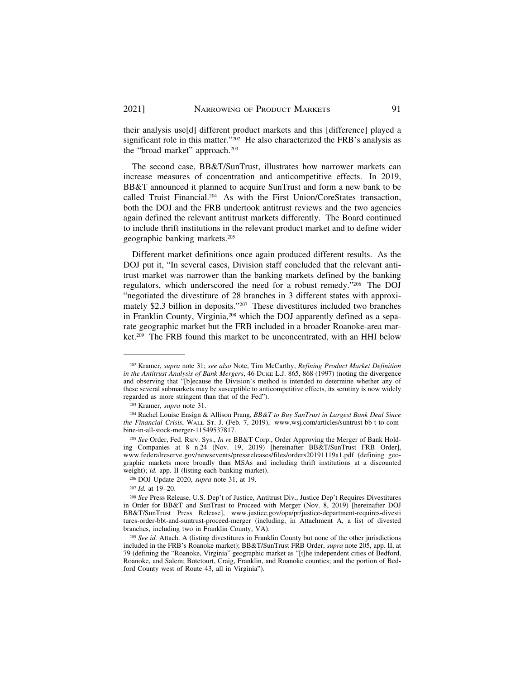their analysis use[d] different product markets and this [difference] played a significant role in this matter."<sup>202</sup> He also characterized the FRB's analysis as the "broad market" approach.203

The second case, BB&T/SunTrust, illustrates how narrower markets can increase measures of concentration and anticompetitive effects. In 2019, BB&T announced it planned to acquire SunTrust and form a new bank to be called Truist Financial.204 As with the First Union/CoreStates transaction, both the DOJ and the FRB undertook antitrust reviews and the two agencies again defined the relevant antitrust markets differently. The Board continued to include thrift institutions in the relevant product market and to define wider geographic banking markets.205

Different market definitions once again produced different results. As the DOJ put it, "In several cases, Division staff concluded that the relevant antitrust market was narrower than the banking markets defined by the banking regulators, which underscored the need for a robust remedy."206 The DOJ "negotiated the divestiture of 28 branches in 3 different states with approximately \$2.3 billion in deposits."207 These divestitures included two branches in Franklin County, Virginia,<sup>208</sup> which the DOJ apparently defined as a separate geographic market but the FRB included in a broader Roanoke-area market.209 The FRB found this market to be unconcentrated, with an HHI below

206 DOJ Update 2020, *supra* note 31, at 19.

<sup>207</sup>*Id.* at 19–20.

<sup>202</sup> Kramer, *supra* note 31; *see also* Note, Tim McCarthy, *Refining Product Market Definition in the Antitrust Analysis of Bank Mergers*, 46 DUKE L.J. 865, 868 (1997) (noting the divergence and observing that "[b]ecause the Division's method is intended to determine whether any of these several submarkets may be susceptible to anticompetitive effects, its scrutiny is now widely regarded as more stringent than that of the Fed").

<sup>203</sup> Kramer, *supra* note 31.

<sup>204</sup> Rachel Louise Ensign & Allison Prang, *BB&T to Buy SunTrust in Largest Bank Deal Since the Financial Crisis*, WALL ST. J. (Feb. 7, 2019), <www.wsj.com/articles/suntrust-bb-t-to-com>bine-in-all-stock-merger-11549537817.

<sup>205</sup> *See* Order, Fed. Rsrv. Sys., *In re* BB&T Corp., Order Approving the Merger of Bank Holding Companies at 8 n.24 (Nov. 19, 2019) [hereinafter BB&T/SunTrust FRB Order], <www.federalreserve.gov/newsevents/pressreleases/files/orders20191119a1.pdf> (defining geographic markets more broadly than MSAs and including thrift institutions at a discounted weight); *id.* app. II (listing each banking market).

<sup>208</sup>*See* Press Release, U.S. Dep't of Justice, Antitrust Div., Justice Dep't Requires Divestitures in Order for BB&T and SunTrust to Proceed with Merger (Nov. 8, 2019) [hereinafter DOJ BB&T/SunTrust Press Release], <www.justice.gov/opa/pr/justice-department-requires-divesti> tures-order-bbt-and-suntrust-proceed-merger (including, in Attachment A, a list of divested branches, including two in Franklin County, VA).

<sup>209</sup>*See id.* Attach. A (listing divestitures in Franklin County but none of the other jurisdictions included in the FRB's Roanoke market); BB&T/SunTrust FRB Order, *supra* note 205, app. II, at 79 (defining the "Roanoke, Virginia" geographic market as "[t]he independent cities of Bedford, Roanoke, and Salem; Botetourt, Craig, Franklin, and Roanoke counties; and the portion of Bedford County west of Route 43, all in Virginia").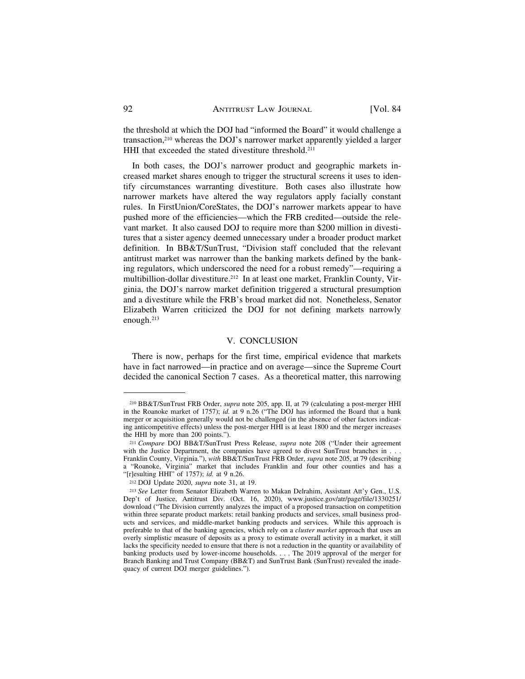the threshold at which the DOJ had "informed the Board" it would challenge a transaction,210 whereas the DOJ's narrower market apparently yielded a larger HHI that exceeded the stated divestiture threshold.<sup>211</sup>

In both cases, the DOJ's narrower product and geographic markets increased market shares enough to trigger the structural screens it uses to identify circumstances warranting divestiture. Both cases also illustrate how narrower markets have altered the way regulators apply facially constant rules. In FirstUnion/CoreStates, the DOJ's narrower markets appear to have pushed more of the efficiencies—which the FRB credited—outside the relevant market. It also caused DOJ to require more than \$200 million in divestitures that a sister agency deemed unnecessary under a broader product market definition. In BB&T/SunTrust, "Division staff concluded that the relevant antitrust market was narrower than the banking markets defined by the banking regulators, which underscored the need for a robust remedy"—requiring a multibillion-dollar divestiture.212 In at least one market, Franklin County, Virginia, the DOJ's narrow market definition triggered a structural presumption and a divestiture while the FRB's broad market did not. Nonetheless, Senator Elizabeth Warren criticized the DOJ for not defining markets narrowly enough.213

### V. CONCLUSION

There is now, perhaps for the first time, empirical evidence that markets have in fact narrowed—in practice and on average—since the Supreme Court decided the canonical Section 7 cases. As a theoretical matter, this narrowing

<sup>210</sup> BB&T/SunTrust FRB Order, *supra* note 205, app. II, at 79 (calculating a post-merger HHI in the Roanoke market of 1757); *id.* at 9 n.26 ("The DOJ has informed the Board that a bank merger or acquisition generally would not be challenged (in the absence of other factors indicating anticompetitive effects) unless the post-merger HHI is at least 1800 and the merger increases the HHI by more than 200 points.").

<sup>211</sup>*Compare* DOJ BB&T/SunTrust Press Release, *supra* note 208 ("Under their agreement with the Justice Department, the companies have agreed to divest SunTrust branches in . . . Franklin County, Virginia."), *with* BB&T/SunTrust FRB Order, *supra* note 205, at 79 (describing a "Roanoke, Virginia" market that includes Franklin and four other counties and has a "[r]esulting HHI" of 1757); *id.* at 9 n.26. 212 DOJ Update 2020, *supra* note 31, at 19. 213 *See* Letter from Senator Elizabeth Warren to Makan Delrahim, Assistant Att'y Gen., U.S.

Dep't of Justice, Antitrust Div. (Oct. 16, 2020), [www.justice.gov/atr/page/file/1330251/](www.justice.gov/atr/page/file/1330251) download ("The Division currently analyzes the impact of a proposed transaction on competition within three separate product markets: retail banking products and services, small business products and services, and middle-market banking products and services. While this approach is preferable to that of the banking agencies, which rely on a *cluster market* approach that uses an overly simplistic measure of deposits as a proxy to estimate overall activity in a market, it still lacks the specificity needed to ensure that there is not a reduction in the quantity or availability of banking products used by lower-income households. . . . The 2019 approval of the merger for Branch Banking and Trust Company (BB&T) and SunTrust Bank (SunTrust) revealed the inadequacy of current DOJ merger guidelines.").